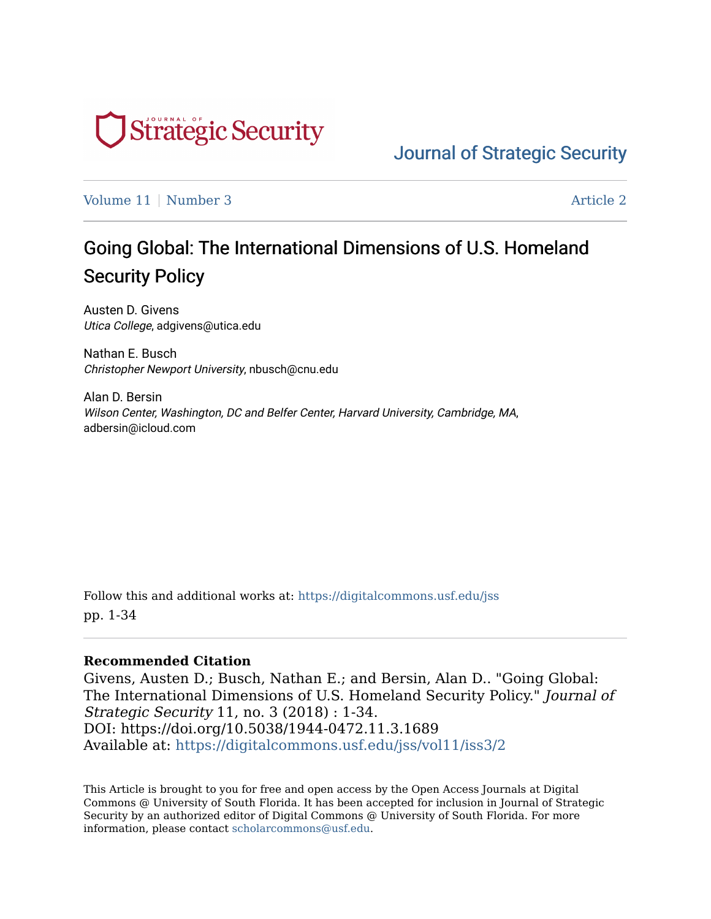

[Journal of Strategic Security](https://digitalcommons.usf.edu/jss) 

[Volume 11](https://digitalcommons.usf.edu/jss/vol11) | [Number 3](https://digitalcommons.usf.edu/jss/vol11/iss3) Article 2

# Going Global: The International Dimensions of U.S. Homeland Security Policy

Austen D. Givens Utica College, adgivens@utica.edu

Nathan E. Busch Christopher Newport University, nbusch@cnu.edu

Alan D. Bersin Wilson Center, Washington, DC and Belfer Center, Harvard University, Cambridge, MA, adbersin@icloud.com

Follow this and additional works at: [https://digitalcommons.usf.edu/jss](https://digitalcommons.usf.edu/jss?utm_source=digitalcommons.usf.edu%2Fjss%2Fvol11%2Fiss3%2F2&utm_medium=PDF&utm_campaign=PDFCoverPages) pp. 1-34

## **Recommended Citation**

Givens, Austen D.; Busch, Nathan E.; and Bersin, Alan D.. "Going Global: The International Dimensions of U.S. Homeland Security Policy." Journal of Strategic Security 11, no. 3 (2018) : 1-34. DOI: https://doi.org/10.5038/1944-0472.11.3.1689 Available at: [https://digitalcommons.usf.edu/jss/vol11/iss3/2](https://digitalcommons.usf.edu/jss/vol11/iss3/2?utm_source=digitalcommons.usf.edu%2Fjss%2Fvol11%2Fiss3%2F2&utm_medium=PDF&utm_campaign=PDFCoverPages) 

This Article is brought to you for free and open access by the Open Access Journals at Digital Commons @ University of South Florida. It has been accepted for inclusion in Journal of Strategic Security by an authorized editor of Digital Commons @ University of South Florida. For more information, please contact [scholarcommons@usf.edu.](mailto:scholarcommons@usf.edu)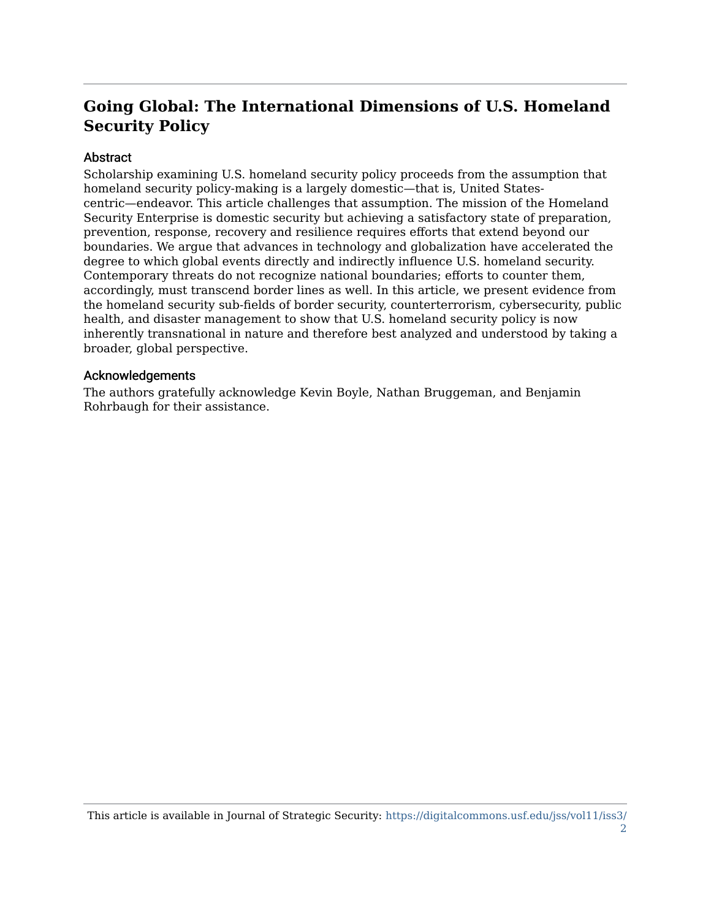# **Going Global: The International Dimensions of U.S. Homeland Security Policy**

## **Abstract**

Scholarship examining U.S. homeland security policy proceeds from the assumption that homeland security policy-making is a largely domestic—that is, United Statescentric—endeavor. This article challenges that assumption. The mission of the Homeland Security Enterprise is domestic security but achieving a satisfactory state of preparation, prevention, response, recovery and resilience requires efforts that extend beyond our boundaries. We argue that advances in technology and globalization have accelerated the degree to which global events directly and indirectly influence U.S. homeland security. Contemporary threats do not recognize national boundaries; efforts to counter them, accordingly, must transcend border lines as well. In this article, we present evidence from the homeland security sub-fields of border security, counterterrorism, cybersecurity, public health, and disaster management to show that U.S. homeland security policy is now inherently transnational in nature and therefore best analyzed and understood by taking a broader, global perspective.

#### Acknowledgements

The authors gratefully acknowledge Kevin Boyle, Nathan Bruggeman, and Benjamin Rohrbaugh for their assistance.

This article is available in Journal of Strategic Security: [https://digitalcommons.usf.edu/jss/vol11/iss3/](https://digitalcommons.usf.edu/jss/vol11/iss3/2) [2](https://digitalcommons.usf.edu/jss/vol11/iss3/2)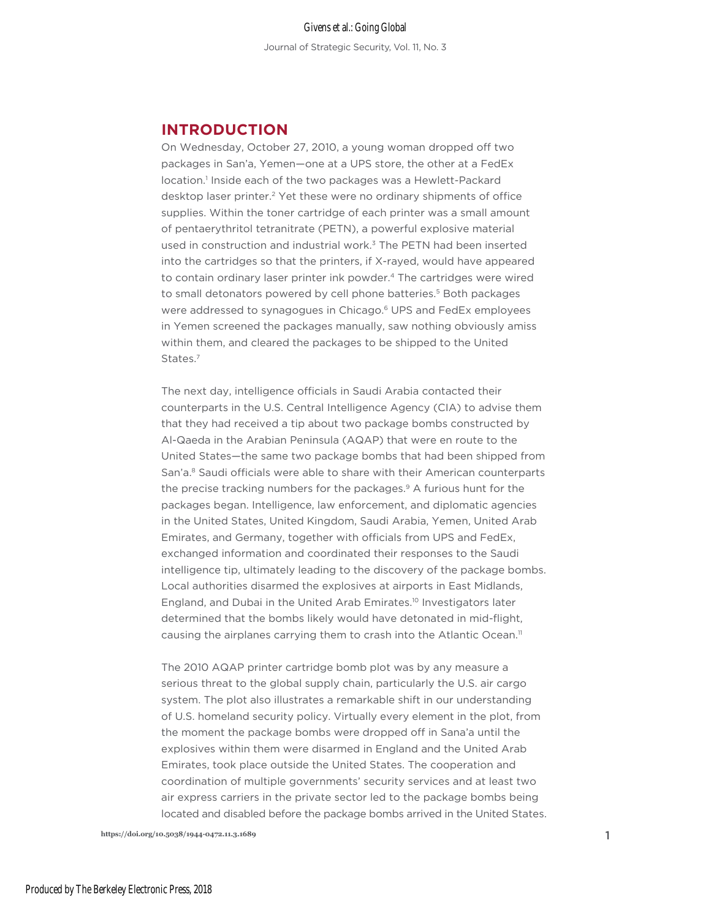# **INTRODUCTION**

On Wednesday, October 27, 2010, a young woman dropped off two packages in San'a, Yemen—one at a UPS store, the other at a FedEx location.<sup>1</sup> Inside each of the two packages was a Hewlett-Packard desktop laser printer.<sup>2</sup> Yet these were no ordinary shipments of office supplies. Within the toner cartridge of each printer was a small amount of pentaerythritol tetranitrate (PETN), a powerful explosive material used in construction and industrial work.<sup>3</sup> The PETN had been inserted into the cartridges so that the printers, if X-rayed, would have appeared to contain ordinary laser printer ink powder.4 The cartridges were wired to small detonators powered by cell phone batteries.<sup>5</sup> Both packages were addressed to synagogues in Chicago.<sup>6</sup> UPS and FedEx employees in Yemen screened the packages manually, saw nothing obviously amiss within them, and cleared the packages to be shipped to the United States.<sup>7</sup>

The next day, intelligence officials in Saudi Arabia contacted their counterparts in the U.S. Central Intelligence Agency (CIA) to advise them that they had received a tip about two package bombs constructed by Al-Qaeda in the Arabian Peninsula (AQAP) that were en route to the United States—the same two package bombs that had been shipped from San'a.<sup>8</sup> Saudi officials were able to share with their American counterparts the precise tracking numbers for the packages.<sup>9</sup> A furious hunt for the packages began. Intelligence, law enforcement, and diplomatic agencies in the United States, United Kingdom, Saudi Arabia, Yemen, United Arab Emirates, and Germany, together with officials from UPS and FedEx, exchanged information and coordinated their responses to the Saudi intelligence tip, ultimately leading to the discovery of the package bombs. Local authorities disarmed the explosives at airports in East Midlands, England, and Dubai in the United Arab Emirates.10 Investigators later determined that the bombs likely would have detonated in mid-flight, causing the airplanes carrying them to crash into the Atlantic Ocean.<sup>11</sup>

The 2010 AQAP printer cartridge bomb plot was by any measure a serious threat to the global supply chain, particularly the U.S. air cargo system. The plot also illustrates a remarkable shift in our understanding of U.S. homeland security policy. Virtually every element in the plot, from the moment the package bombs were dropped off in Sana'a until the explosives within them were disarmed in England and the United Arab Emirates, took place outside the United States. The cooperation and coordination of multiple governments' security services and at least two air express carriers in the private sector led to the package bombs being located and disabled before the package bombs arrived in the United States.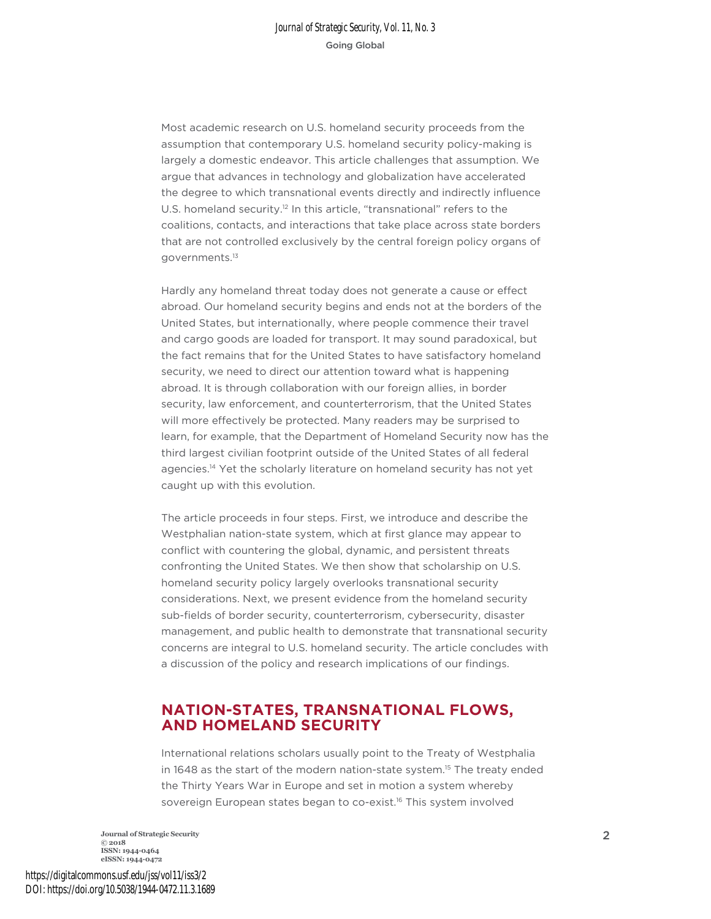Most academic research on U.S. homeland security proceeds from the assumption that contemporary U.S. homeland security policy-making is largely a domestic endeavor. This article challenges that assumption. We argue that advances in technology and globalization have accelerated the degree to which transnational events directly and indirectly influence U.S. homeland security.<sup>12</sup> In this article, "transnational" refers to the coalitions, contacts, and interactions that take place across state borders that are not controlled exclusively by the central foreign policy organs of governments.13

Hardly any homeland threat today does not generate a cause or effect abroad. Our homeland security begins and ends not at the borders of the United States, but internationally, where people commence their travel and cargo goods are loaded for transport. It may sound paradoxical, but the fact remains that for the United States to have satisfactory homeland security, we need to direct our attention toward what is happening abroad. It is through collaboration with our foreign allies, in border security, law enforcement, and counterterrorism, that the United States will more effectively be protected. Many readers may be surprised to learn, for example, that the Department of Homeland Security now has the third largest civilian footprint outside of the United States of all federal agencies.<sup>14</sup> Yet the scholarly literature on homeland security has not yet caught up with this evolution.

The article proceeds in four steps. First, we introduce and describe the Westphalian nation-state system, which at first glance may appear to conflict with countering the global, dynamic, and persistent threats confronting the United States. We then show that scholarship on U.S. homeland security policy largely overlooks transnational security considerations. Next, we present evidence from the homeland security sub-fields of border security, counterterrorism, cybersecurity, disaster management, and public health to demonstrate that transnational security concerns are integral to U.S. homeland security. The article concludes with a discussion of the policy and research implications of our findings.

## **NATION-STATES, TRANSNATIONAL FLOWS, AND HOMELAND SECURITY**

International relations scholars usually point to the Treaty of Westphalia in 1648 as the start of the modern nation-state system.15 The treaty ended the Thirty Years War in Europe and set in motion a system whereby sovereign European states began to co-exist.<sup>16</sup> This system involved

**Journal of Strategic Security** 2 **© 2018 ISSN: 1944-0464 eISSN: 1944-0472**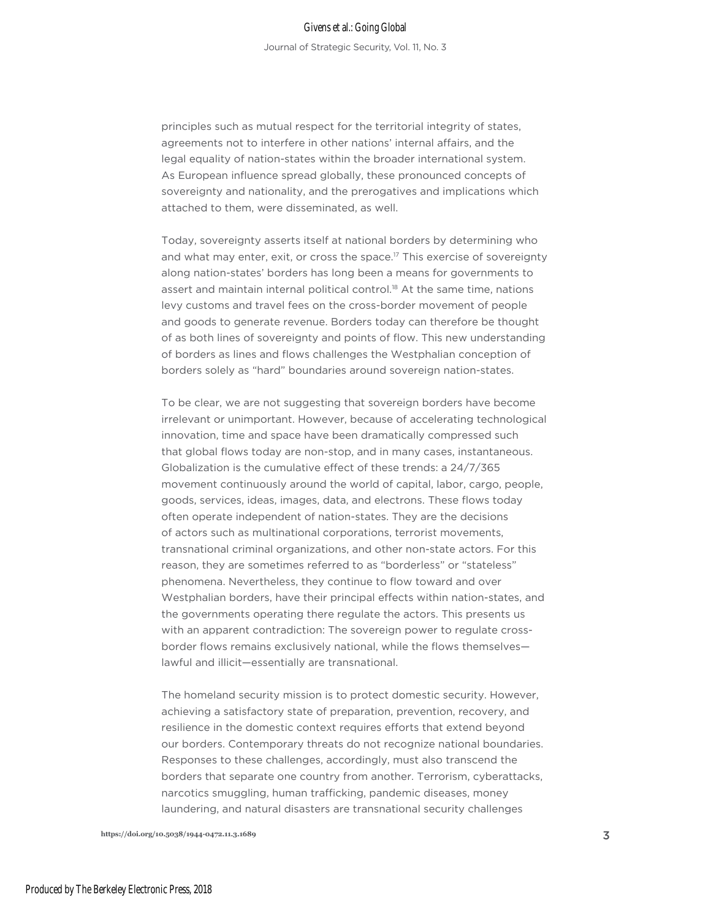principles such as mutual respect for the territorial integrity of states, agreements not to interfere in other nations' internal affairs, and the legal equality of nation-states within the broader international system. As European influence spread globally, these pronounced concepts of sovereignty and nationality, and the prerogatives and implications which attached to them, were disseminated, as well.

Today, sovereignty asserts itself at national borders by determining who and what may enter, exit, or cross the space.<sup>17</sup> This exercise of sovereignty along nation-states' borders has long been a means for governments to assert and maintain internal political control.<sup>18</sup> At the same time, nations levy customs and travel fees on the cross-border movement of people and goods to generate revenue. Borders today can therefore be thought of as both lines of sovereignty and points of flow. This new understanding of borders as lines and flows challenges the Westphalian conception of borders solely as "hard" boundaries around sovereign nation-states.

To be clear, we are not suggesting that sovereign borders have become irrelevant or unimportant. However, because of accelerating technological innovation, time and space have been dramatically compressed such that global flows today are non-stop, and in many cases, instantaneous. Globalization is the cumulative effect of these trends: a 24/7/365 movement continuously around the world of capital, labor, cargo, people, goods, services, ideas, images, data, and electrons. These flows today often operate independent of nation-states. They are the decisions of actors such as multinational corporations, terrorist movements, transnational criminal organizations, and other non-state actors. For this reason, they are sometimes referred to as "borderless" or "stateless" phenomena. Nevertheless, they continue to flow toward and over Westphalian borders, have their principal effects within nation-states, and the governments operating there regulate the actors. This presents us with an apparent contradiction: The sovereign power to regulate crossborder flows remains exclusively national, while the flows themselves lawful and illicit—essentially are transnational.

The homeland security mission is to protect domestic security. However, achieving a satisfactory state of preparation, prevention, recovery, and resilience in the domestic context requires efforts that extend beyond our borders. Contemporary threats do not recognize national boundaries. Responses to these challenges, accordingly, must also transcend the borders that separate one country from another. Terrorism, cyberattacks, narcotics smuggling, human trafficking, pandemic diseases, money laundering, and natural disasters are transnational security challenges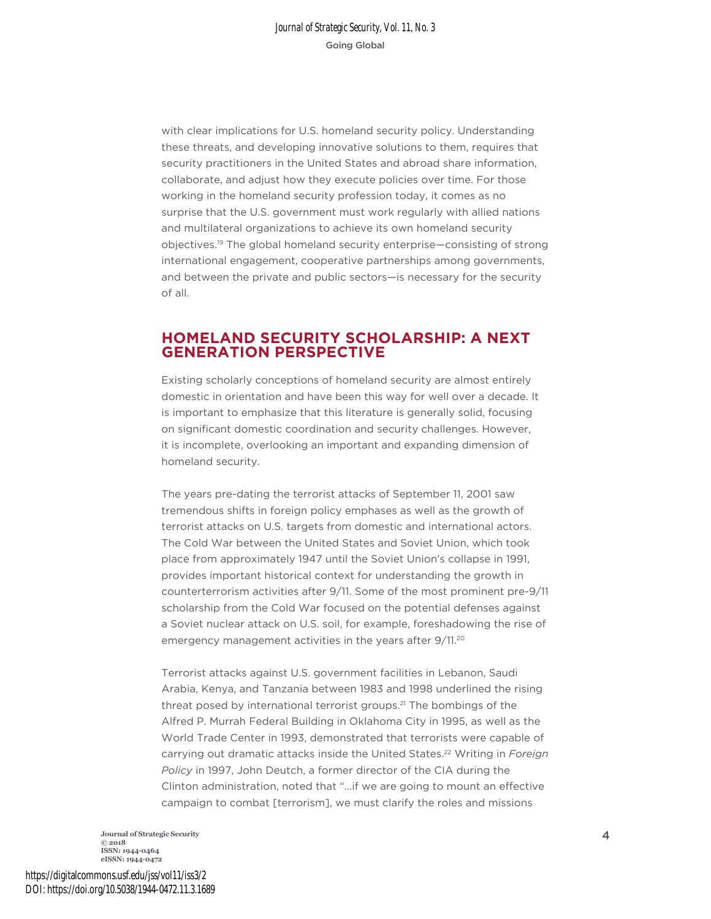with clear implications for U.S. homeland security policy. Understanding these threats, and developing innovative solutions to them, requires that security practitioners in the United States and abroad share information, collaborate, and adjust how they execute policies over time. For those working in the homeland security profession today, it comes as no surprise that the U.S. government must work regularly with allied nations and multilateral organizations to achieve its own homeland security objectives.19 The global homeland security enterprise—consisting of strong international engagement, cooperative partnerships among governments, and between the private and public sectors—is necessary for the security of all.

## **HOMELAND SECURITY SCHOLARSHIP: A NEXT GENERATION PERSPECTIVE**

Existing scholarly conceptions of homeland security are almost entirely domestic in orientation and have been this way for well over a decade. It is important to emphasize that this literature is generally solid, focusing on significant domestic coordination and security challenges. However, it is incomplete, overlooking an important and expanding dimension of homeland security.

The years pre-dating the terrorist attacks of September 11, 2001 saw tremendous shifts in foreign policy emphases as well as the growth of terrorist attacks on U.S. targets from domestic and international actors. The Cold War between the United States and Soviet Union, which took place from approximately 1947 until the Soviet Union's collapse in 1991, provides important historical context for understanding the growth in counterterrorism activities after 9/11. Some of the most prominent pre-9/11 scholarship from the Cold War focused on the potential defenses against a Soviet nuclear attack on U.S. soil, for example, foreshadowing the rise of emergency management activities in the years after 9/11.20

Terrorist attacks against U.S. government facilities in Lebanon, Saudi Arabia, Kenya, and Tanzania between 1983 and 1998 underlined the rising threat posed by international terrorist groups.<sup>21</sup> The bombings of the Alfred P. Murrah Federal Building in Oklahoma City in 1995, as well as the World Trade Center in 1993, demonstrated that terrorists were capable of carrying out dramatic attacks inside the United States.22 Writing in *Foreign Policy* in 1997, John Deutch, a former director of the CIA during the Clinton administration, noted that "…if we are going to mount an effective campaign to combat [terrorism], we must clarify the roles and missions

**Journal of Strategic Security** 4 **© 2018 ISSN: 1944-0464 eISSN: 1944-0472**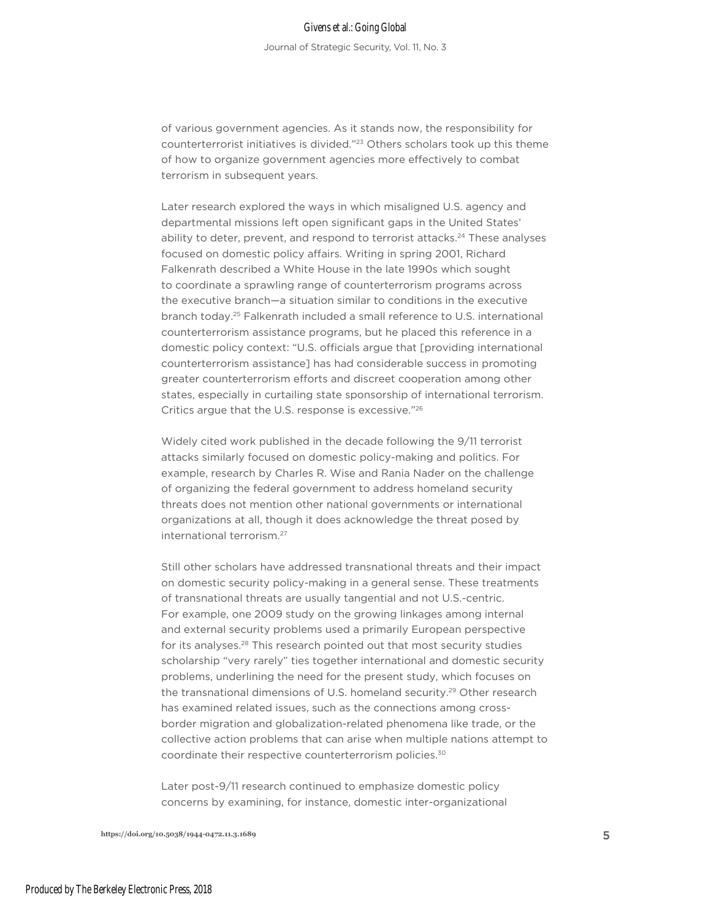Journal of Strategic Security, Vol. 11, No. 3

of various government agencies. As it stands now, the responsibility for counterterrorist initiatives is divided."23 Others scholars took up this theme of how to organize government agencies more effectively to combat terrorism in subsequent years.

Later research explored the ways in which misaligned U.S. agency and departmental missions left open significant gaps in the United States' ability to deter, prevent, and respond to terrorist attacks.<sup>24</sup> These analyses focused on domestic policy affairs. Writing in spring 2001, Richard Falkenrath described a White House in the late 1990s which sought to coordinate a sprawling range of counterterrorism programs across the executive branch—a situation similar to conditions in the executive branch today.25 Falkenrath included a small reference to U.S. international counterterrorism assistance programs, but he placed this reference in a domestic policy context: "U.S. officials argue that [providing international counterterrorism assistance] has had considerable success in promoting greater counterterrorism efforts and discreet cooperation among other states, especially in curtailing state sponsorship of international terrorism. Critics argue that the U.S. response is excessive."26

Widely cited work published in the decade following the 9/11 terrorist attacks similarly focused on domestic policy-making and politics. For example, research by Charles R. Wise and Rania Nader on the challenge of organizing the federal government to address homeland security threats does not mention other national governments or international organizations at all, though it does acknowledge the threat posed by international terrorism.27

Still other scholars have addressed transnational threats and their impact on domestic security policy-making in a general sense. These treatments of transnational threats are usually tangential and not U.S.-centric. For example, one 2009 study on the growing linkages among internal and external security problems used a primarily European perspective for its analyses.<sup>28</sup> This research pointed out that most security studies scholarship "very rarely" ties together international and domestic security problems, underlining the need for the present study, which focuses on the transnational dimensions of U.S. homeland security.29 Other research has examined related issues, such as the connections among crossborder migration and globalization-related phenomena like trade, or the collective action problems that can arise when multiple nations attempt to coordinate their respective counterterrorism policies.30

Later post-9/11 research continued to emphasize domestic policy concerns by examining, for instance, domestic inter-organizational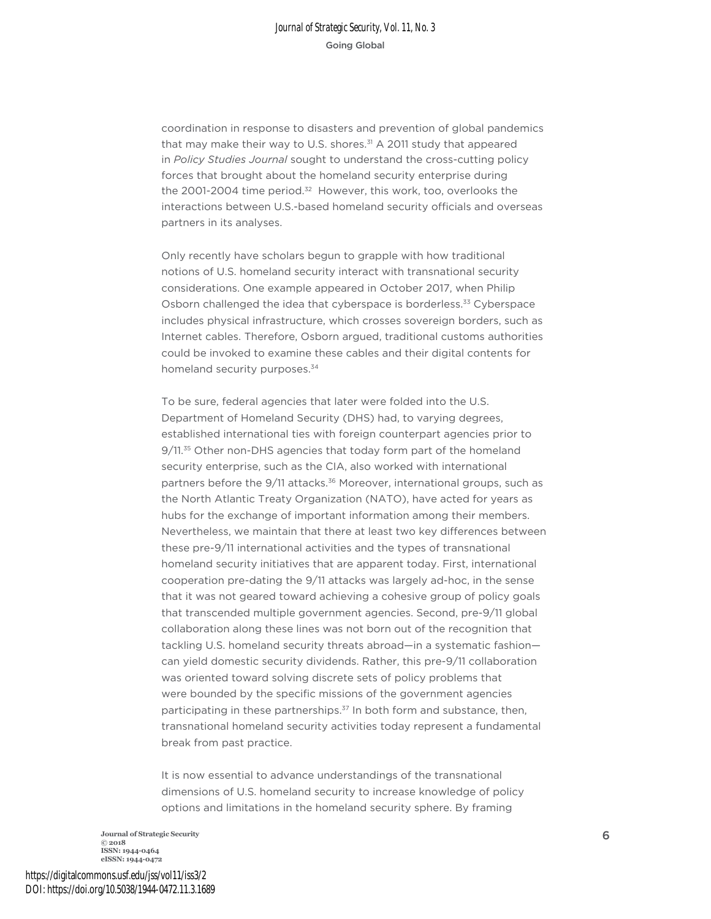coordination in response to disasters and prevention of global pandemics that may make their way to U.S. shores. $31$  A 2011 study that appeared in *Policy Studies Journal* sought to understand the cross-cutting policy forces that brought about the homeland security enterprise during the 2001-2004 time period.<sup>32</sup> However, this work, too, overlooks the interactions between U.S.-based homeland security officials and overseas partners in its analyses.

Only recently have scholars begun to grapple with how traditional notions of U.S. homeland security interact with transnational security considerations. One example appeared in October 2017, when Philip Osborn challenged the idea that cyberspace is borderless.<sup>33</sup> Cyberspace includes physical infrastructure, which crosses sovereign borders, such as Internet cables. Therefore, Osborn argued, traditional customs authorities could be invoked to examine these cables and their digital contents for homeland security purposes.<sup>34</sup>

To be sure, federal agencies that later were folded into the U.S. Department of Homeland Security (DHS) had, to varying degrees, established international ties with foreign counterpart agencies prior to 9/11.<sup>35</sup> Other non-DHS agencies that today form part of the homeland security enterprise, such as the CIA, also worked with international partners before the 9/11 attacks.<sup>36</sup> Moreover, international groups, such as the North Atlantic Treaty Organization (NATO), have acted for years as hubs for the exchange of important information among their members. Nevertheless, we maintain that there at least two key differences between these pre-9/11 international activities and the types of transnational homeland security initiatives that are apparent today. First, international cooperation pre-dating the 9/11 attacks was largely ad-hoc, in the sense that it was not geared toward achieving a cohesive group of policy goals that transcended multiple government agencies. Second, pre-9/11 global collaboration along these lines was not born out of the recognition that tackling U.S. homeland security threats abroad—in a systematic fashion can yield domestic security dividends. Rather, this pre-9/11 collaboration was oriented toward solving discrete sets of policy problems that were bounded by the specific missions of the government agencies participating in these partnerships.<sup>37</sup> In both form and substance, then, transnational homeland security activities today represent a fundamental break from past practice.

It is now essential to advance understandings of the transnational dimensions of U.S. homeland security to increase knowledge of policy options and limitations in the homeland security sphere. By framing

**Journal of Strategic Security** <sup>6</sup> **© 2018 ISSN: 1944-0464 eISSN: 1944-0472**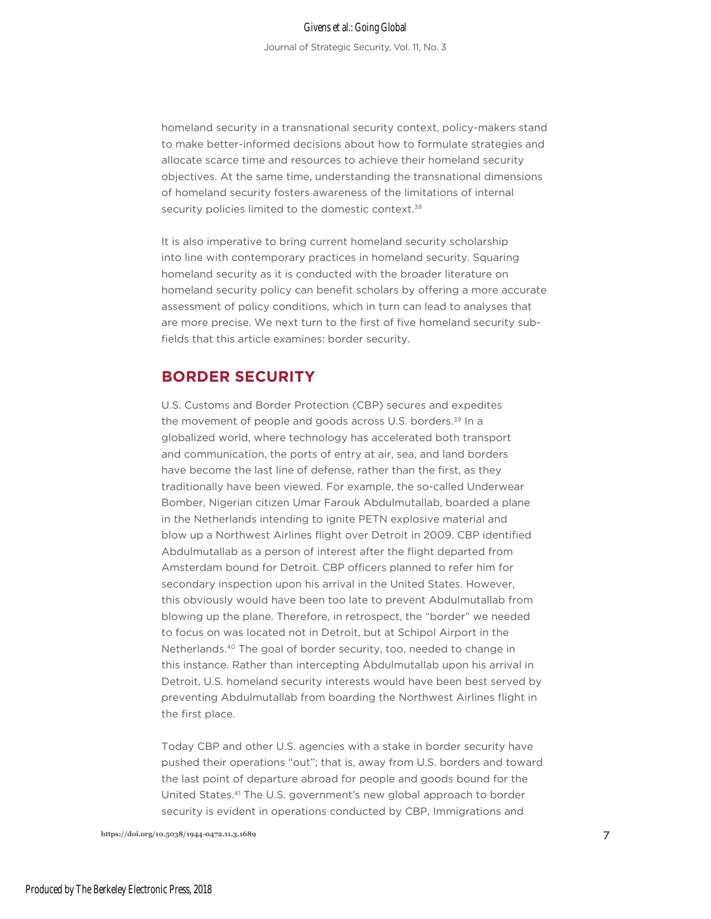homeland security in a transnational security context, policy-makers stand to make better-informed decisions about how to formulate strategies and allocate scarce time and resources to achieve their homeland security objectives. At the same time, understanding the transnational dimensions of homeland security fosters awareness of the limitations of internal security policies limited to the domestic context.<sup>38</sup>

It is also imperative to bring current homeland security scholarship into line with contemporary practices in homeland security. Squaring homeland security as it is conducted with the broader literature on homeland security policy can benefit scholars by offering a more accurate assessment of policy conditions, which in turn can lead to analyses that are more precise. We next turn to the first of five homeland security subfields that this article examines: border security.

# **BORDER SECURITY**

U.S. Customs and Border Protection (CBP) secures and expedites the movement of people and goods across U.S. borders.<sup>39</sup> In a globalized world, where technology has accelerated both transport and communication, the ports of entry at air, sea, and land borders have become the last line of defense, rather than the first, as they traditionally have been viewed. For example, the so-called Underwear Bomber, Nigerian citizen Umar Farouk Abdulmutallab, boarded a plane in the Netherlands intending to ignite PETN explosive material and blow up a Northwest Airlines flight over Detroit in 2009. CBP identified Abdulmutallab as a person of interest after the flight departed from Amsterdam bound for Detroit. CBP officers planned to refer him for secondary inspection upon his arrival in the United States. However, this obviously would have been too late to prevent Abdulmutallab from blowing up the plane. Therefore, in retrospect, the "border" we needed to focus on was located not in Detroit, but at Schipol Airport in the Netherlands.40 The goal of border security, too, needed to change in this instance. Rather than intercepting Abdulmutallab upon his arrival in Detroit, U.S. homeland security interests would have been best served by preventing Abdulmutallab from boarding the Northwest Airlines flight in the first place.

Today CBP and other U.S. agencies with a stake in border security have pushed their operations "out"; that is, away from U.S. borders and toward the last point of departure abroad for people and goods bound for the United States.41 The U.S. government's new global approach to border security is evident in operations conducted by CBP, Immigrations and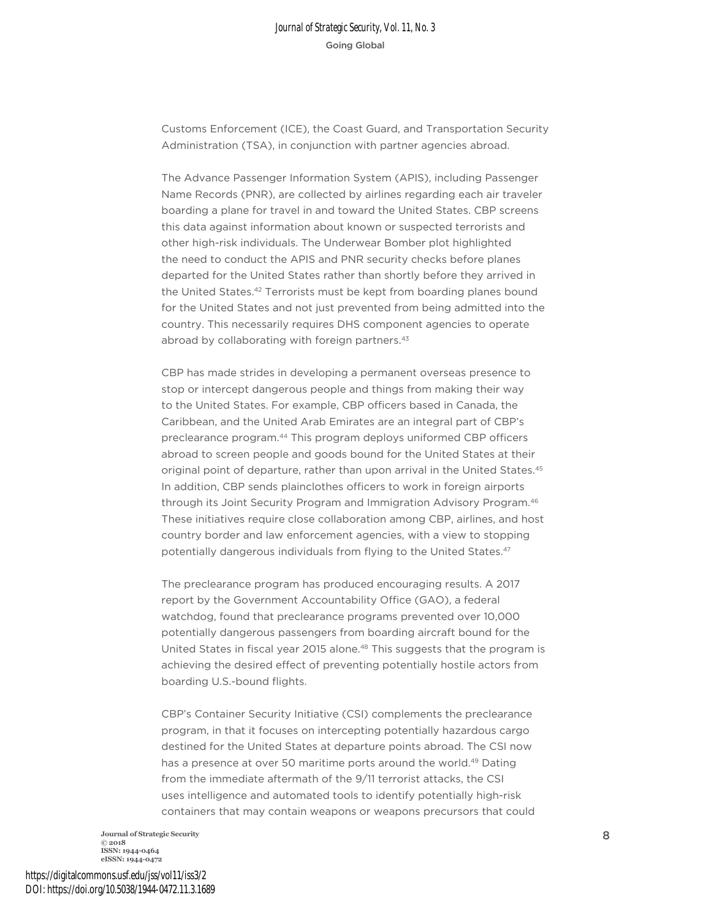Customs Enforcement (ICE), the Coast Guard, and Transportation Security Administration (TSA), in conjunction with partner agencies abroad.

The Advance Passenger Information System (APIS), including Passenger Name Records (PNR), are collected by airlines regarding each air traveler boarding a plane for travel in and toward the United States. CBP screens this data against information about known or suspected terrorists and other high-risk individuals. The Underwear Bomber plot highlighted the need to conduct the APIS and PNR security checks before planes departed for the United States rather than shortly before they arrived in the United States.<sup>42</sup> Terrorists must be kept from boarding planes bound for the United States and not just prevented from being admitted into the country. This necessarily requires DHS component agencies to operate abroad by collaborating with foreign partners.<sup>43</sup>

CBP has made strides in developing a permanent overseas presence to stop or intercept dangerous people and things from making their way to the United States. For example, CBP officers based in Canada, the Caribbean, and the United Arab Emirates are an integral part of CBP's preclearance program.44 This program deploys uniformed CBP officers abroad to screen people and goods bound for the United States at their original point of departure, rather than upon arrival in the United States.<sup>45</sup> In addition, CBP sends plainclothes officers to work in foreign airports through its Joint Security Program and Immigration Advisory Program.<sup>46</sup> These initiatives require close collaboration among CBP, airlines, and host country border and law enforcement agencies, with a view to stopping potentially dangerous individuals from flying to the United States.<sup>47</sup>

The preclearance program has produced encouraging results. A 2017 report by the Government Accountability Office (GAO), a federal watchdog, found that preclearance programs prevented over 10,000 potentially dangerous passengers from boarding aircraft bound for the United States in fiscal year 2015 alone.<sup>48</sup> This suggests that the program is achieving the desired effect of preventing potentially hostile actors from boarding U.S.-bound flights.

CBP's Container Security Initiative (CSI) complements the preclearance program, in that it focuses on intercepting potentially hazardous cargo destined for the United States at departure points abroad. The CSI now has a presence at over 50 maritime ports around the world.<sup>49</sup> Dating from the immediate aftermath of the 9/11 terrorist attacks, the CSI uses intelligence and automated tools to identify potentially high-risk containers that may contain weapons or weapons precursors that could

**Journal of Strategic Security** 8 **© 2018 ISSN: 1944-0464 eISSN: 1944-0472**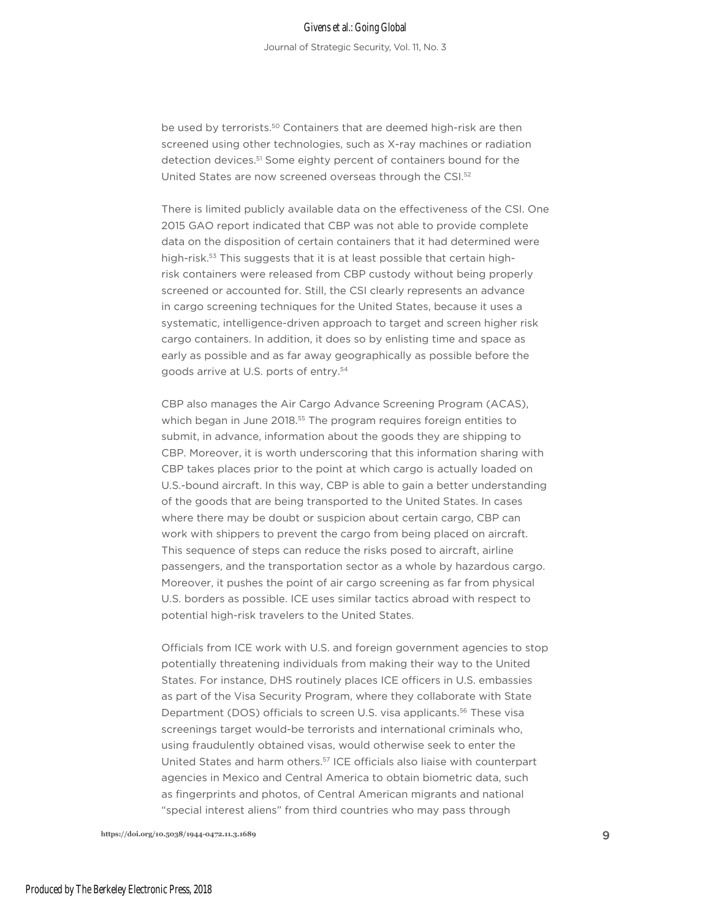# Givens et al.: Going Global

Journal of Strategic Security, Vol. 11, No. 3

be used by terrorists.<sup>50</sup> Containers that are deemed high-risk are then screened using other technologies, such as X-ray machines or radiation detection devices.<sup>51</sup> Some eighty percent of containers bound for the United States are now screened overseas through the CSI.52

There is limited publicly available data on the effectiveness of the CSI. One 2015 GAO report indicated that CBP was not able to provide complete data on the disposition of certain containers that it had determined were high-risk.<sup>53</sup> This suggests that it is at least possible that certain highrisk containers were released from CBP custody without being properly screened or accounted for. Still, the CSI clearly represents an advance in cargo screening techniques for the United States, because it uses a systematic, intelligence-driven approach to target and screen higher risk cargo containers. In addition, it does so by enlisting time and space as early as possible and as far away geographically as possible before the goods arrive at U.S. ports of entry.54

CBP also manages the Air Cargo Advance Screening Program (ACAS), which began in June 2018.<sup>55</sup> The program requires foreign entities to submit, in advance, information about the goods they are shipping to CBP. Moreover, it is worth underscoring that this information sharing with CBP takes places prior to the point at which cargo is actually loaded on U.S.-bound aircraft. In this way, CBP is able to gain a better understanding of the goods that are being transported to the United States. In cases where there may be doubt or suspicion about certain cargo, CBP can work with shippers to prevent the cargo from being placed on aircraft. This sequence of steps can reduce the risks posed to aircraft, airline passengers, and the transportation sector as a whole by hazardous cargo. Moreover, it pushes the point of air cargo screening as far from physical U.S. borders as possible. ICE uses similar tactics abroad with respect to potential high-risk travelers to the United States.

Officials from ICE work with U.S. and foreign government agencies to stop potentially threatening individuals from making their way to the United States. For instance, DHS routinely places ICE officers in U.S. embassies as part of the Visa Security Program, where they collaborate with State Department (DOS) officials to screen U.S. visa applicants.<sup>56</sup> These visa screenings target would-be terrorists and international criminals who, using fraudulently obtained visas, would otherwise seek to enter the United States and harm others.57 ICE officials also liaise with counterpart agencies in Mexico and Central America to obtain biometric data, such as fingerprints and photos, of Central American migrants and national "special interest aliens" from third countries who may pass through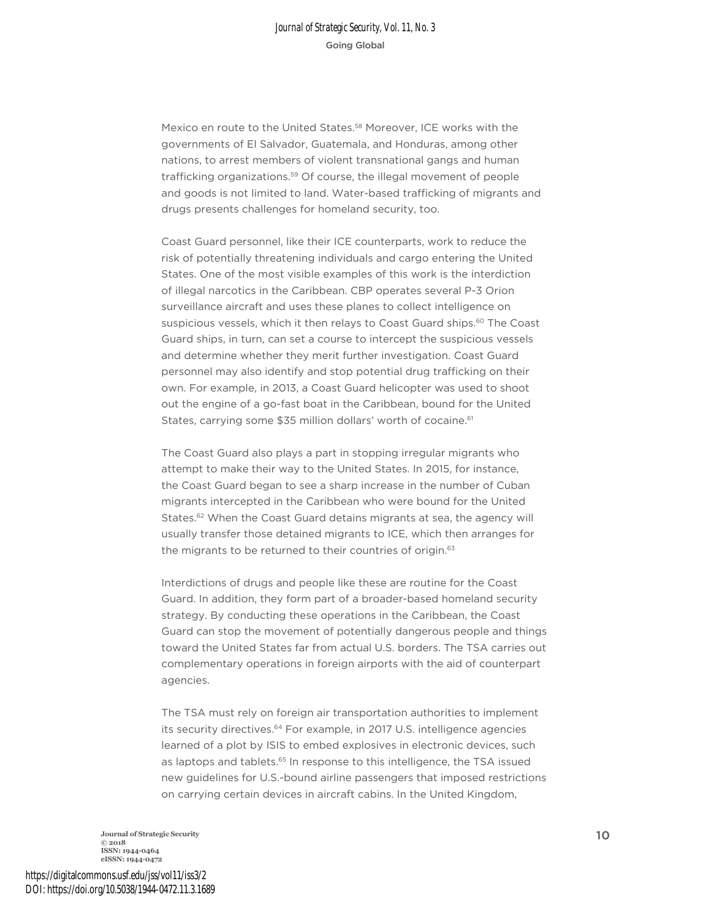Mexico en route to the United States.58 Moreover, ICE works with the governments of El Salvador, Guatemala, and Honduras, among other nations, to arrest members of violent transnational gangs and human trafficking organizations.59 Of course, the illegal movement of people and goods is not limited to land. Water-based trafficking of migrants and drugs presents challenges for homeland security, too.

Coast Guard personnel, like their ICE counterparts, work to reduce the risk of potentially threatening individuals and cargo entering the United States. One of the most visible examples of this work is the interdiction of illegal narcotics in the Caribbean. CBP operates several P-3 Orion surveillance aircraft and uses these planes to collect intelligence on suspicious vessels, which it then relays to Coast Guard ships.<sup>60</sup> The Coast Guard ships, in turn, can set a course to intercept the suspicious vessels and determine whether they merit further investigation. Coast Guard personnel may also identify and stop potential drug trafficking on their own. For example, in 2013, a Coast Guard helicopter was used to shoot out the engine of a go-fast boat in the Caribbean, bound for the United States, carrying some \$35 million dollars' worth of cocaine.<sup>61</sup>

The Coast Guard also plays a part in stopping irregular migrants who attempt to make their way to the United States. In 2015, for instance, the Coast Guard began to see a sharp increase in the number of Cuban migrants intercepted in the Caribbean who were bound for the United States.<sup>62</sup> When the Coast Guard detains migrants at sea, the agency will usually transfer those detained migrants to ICE, which then arranges for the migrants to be returned to their countries of origin.<sup>63</sup>

Interdictions of drugs and people like these are routine for the Coast Guard. In addition, they form part of a broader-based homeland security strategy. By conducting these operations in the Caribbean, the Coast Guard can stop the movement of potentially dangerous people and things toward the United States far from actual U.S. borders. The TSA carries out complementary operations in foreign airports with the aid of counterpart agencies.

The TSA must rely on foreign air transportation authorities to implement its security directives.<sup>64</sup> For example, in 2017 U.S. intelligence agencies learned of a plot by ISIS to embed explosives in electronic devices, such as laptops and tablets.<sup>65</sup> In response to this intelligence, the TSA issued new guidelines for U.S.-bound airline passengers that imposed restrictions on carrying certain devices in aircraft cabins. In the United Kingdom,

**Journal of Strategic Security** <sup>10</sup> **© 2018 ISSN: 1944-0464 eISSN: 1944-0472**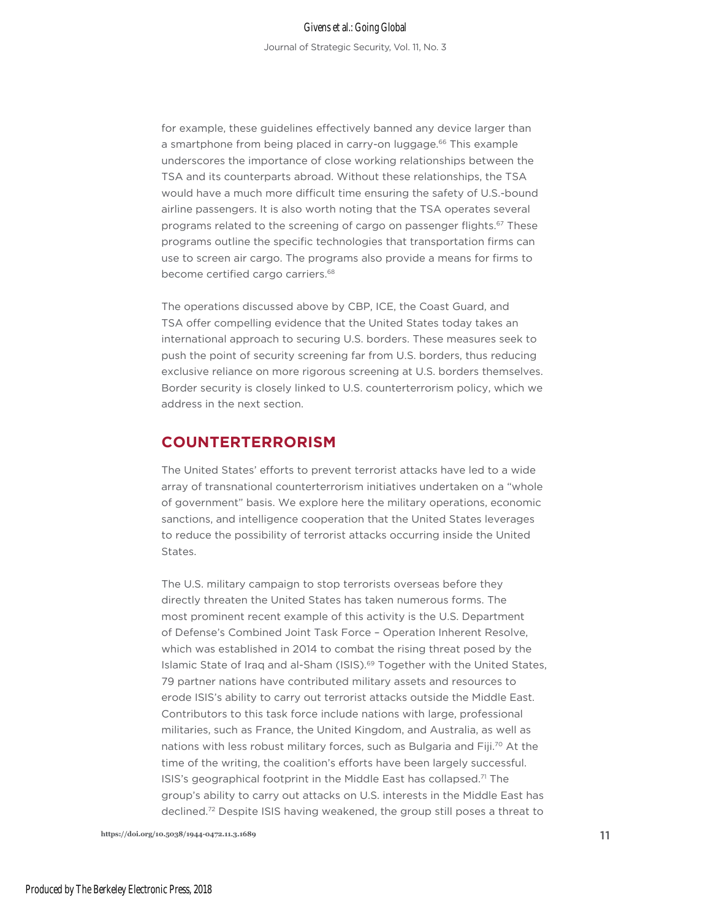for example, these guidelines effectively banned any device larger than a smartphone from being placed in carry-on luggage.<sup>66</sup> This example underscores the importance of close working relationships between the TSA and its counterparts abroad. Without these relationships, the TSA would have a much more difficult time ensuring the safety of U.S.-bound airline passengers. It is also worth noting that the TSA operates several programs related to the screening of cargo on passenger flights.67 These programs outline the specific technologies that transportation firms can use to screen air cargo. The programs also provide a means for firms to become certified cargo carriers.<sup>68</sup>

The operations discussed above by CBP, ICE, the Coast Guard, and TSA offer compelling evidence that the United States today takes an international approach to securing U.S. borders. These measures seek to push the point of security screening far from U.S. borders, thus reducing exclusive reliance on more rigorous screening at U.S. borders themselves. Border security is closely linked to U.S. counterterrorism policy, which we address in the next section.

# **COUNTERTERRORISM**

The United States' efforts to prevent terrorist attacks have led to a wide array of transnational counterterrorism initiatives undertaken on a "whole of government" basis. We explore here the military operations, economic sanctions, and intelligence cooperation that the United States leverages to reduce the possibility of terrorist attacks occurring inside the United States.

The U.S. military campaign to stop terrorists overseas before they directly threaten the United States has taken numerous forms. The most prominent recent example of this activity is the U.S. Department of Defense's Combined Joint Task Force – Operation Inherent Resolve, which was established in 2014 to combat the rising threat posed by the Islamic State of Iraq and al-Sham (ISIS).<sup>69</sup> Together with the United States, 79 partner nations have contributed military assets and resources to erode ISIS's ability to carry out terrorist attacks outside the Middle East. Contributors to this task force include nations with large, professional militaries, such as France, the United Kingdom, and Australia, as well as nations with less robust military forces, such as Bulgaria and Fiji.<sup>70</sup> At the time of the writing, the coalition's efforts have been largely successful. ISIS's geographical footprint in the Middle East has collapsed.<sup>71</sup> The group's ability to carry out attacks on U.S. interests in the Middle East has declined.72 Despite ISIS having weakened, the group still poses a threat to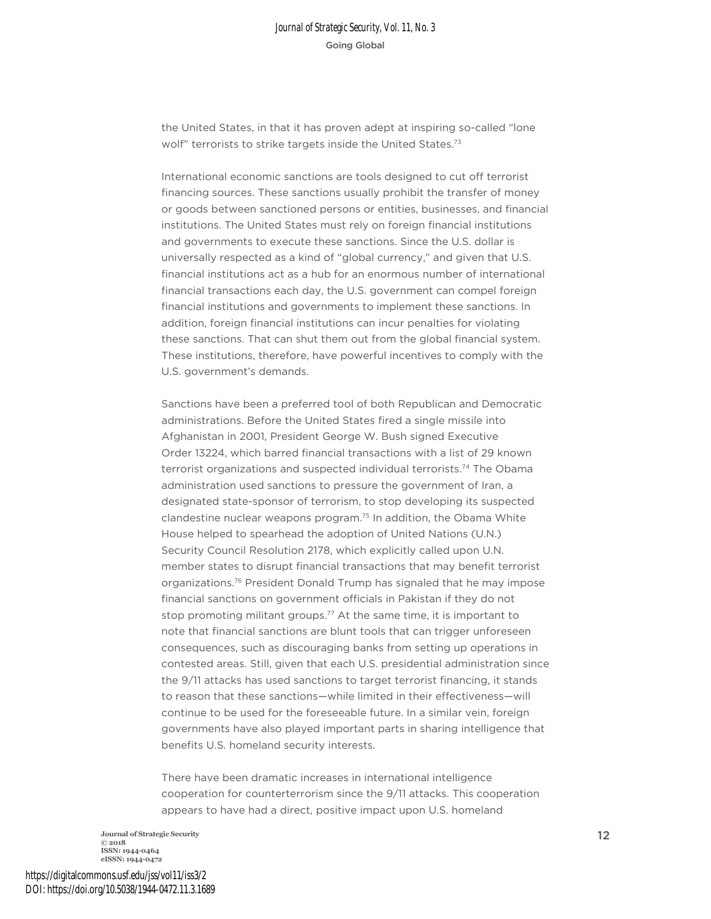the United States, in that it has proven adept at inspiring so-called "lone wolf" terrorists to strike targets inside the United States.<sup>73</sup>

International economic sanctions are tools designed to cut off terrorist financing sources. These sanctions usually prohibit the transfer of money or goods between sanctioned persons or entities, businesses, and financial institutions. The United States must rely on foreign financial institutions and governments to execute these sanctions. Since the U.S. dollar is universally respected as a kind of "global currency," and given that U.S. financial institutions act as a hub for an enormous number of international financial transactions each day, the U.S. government can compel foreign financial institutions and governments to implement these sanctions. In addition, foreign financial institutions can incur penalties for violating these sanctions. That can shut them out from the global financial system. These institutions, therefore, have powerful incentives to comply with the U.S. government's demands.

Sanctions have been a preferred tool of both Republican and Democratic administrations. Before the United States fired a single missile into Afghanistan in 2001, President George W. Bush signed Executive Order 13224, which barred financial transactions with a list of 29 known terrorist organizations and suspected individual terrorists.<sup>74</sup> The Obama administration used sanctions to pressure the government of Iran, a designated state-sponsor of terrorism, to stop developing its suspected clandestine nuclear weapons program.75 In addition, the Obama White House helped to spearhead the adoption of United Nations (U.N.) Security Council Resolution 2178, which explicitly called upon U.N. member states to disrupt financial transactions that may benefit terrorist organizations.76 President Donald Trump has signaled that he may impose financial sanctions on government officials in Pakistan if they do not stop promoting militant groups.77 At the same time, it is important to note that financial sanctions are blunt tools that can trigger unforeseen consequences, such as discouraging banks from setting up operations in contested areas. Still, given that each U.S. presidential administration since the 9/11 attacks has used sanctions to target terrorist financing, it stands to reason that these sanctions—while limited in their effectiveness—will continue to be used for the foreseeable future. In a similar vein, foreign governments have also played important parts in sharing intelligence that benefits U.S. homeland security interests.

There have been dramatic increases in international intelligence cooperation for counterterrorism since the 9/11 attacks. This cooperation appears to have had a direct, positive impact upon U.S. homeland

**Journal of Strategic Security** 12 **© 2018 ISSN: 1944-0464 eISSN: 1944-0472**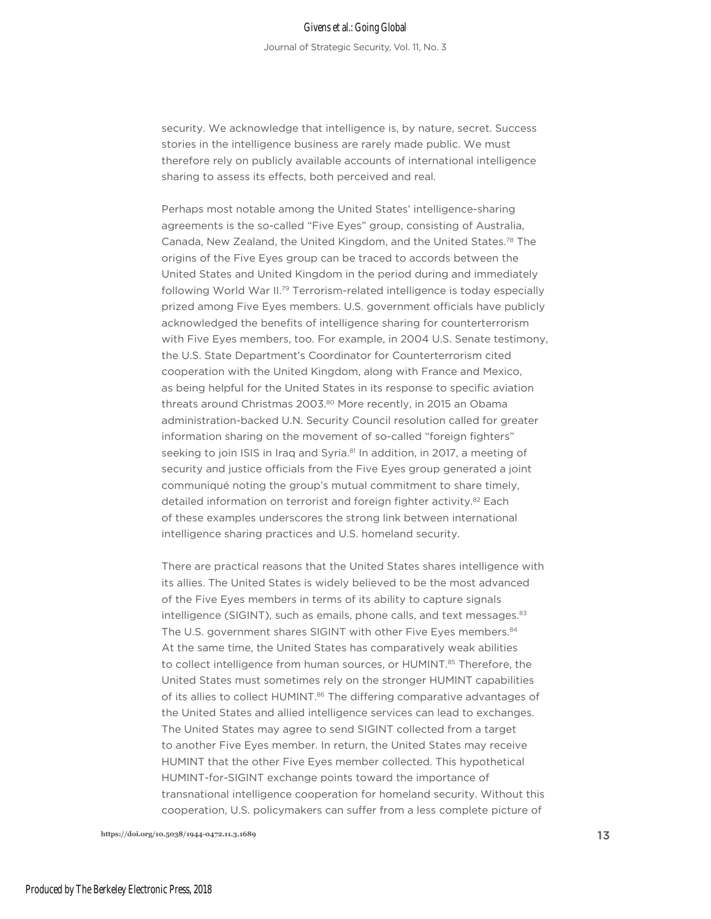#### Givens et al.: Going Global

Journal of Strategic Security, Vol. 11, No. 3

security. We acknowledge that intelligence is, by nature, secret. Success stories in the intelligence business are rarely made public. We must therefore rely on publicly available accounts of international intelligence sharing to assess its effects, both perceived and real.

Perhaps most notable among the United States' intelligence-sharing agreements is the so-called "Five Eyes" group, consisting of Australia, Canada, New Zealand, the United Kingdom, and the United States.78 The origins of the Five Eyes group can be traced to accords between the United States and United Kingdom in the period during and immediately following World War II.79 Terrorism-related intelligence is today especially prized among Five Eyes members. U.S. government officials have publicly acknowledged the benefits of intelligence sharing for counterterrorism with Five Eyes members, too. For example, in 2004 U.S. Senate testimony, the U.S. State Department's Coordinator for Counterterrorism cited cooperation with the United Kingdom, along with France and Mexico, as being helpful for the United States in its response to specific aviation threats around Christmas 2003.80 More recently, in 2015 an Obama administration-backed U.N. Security Council resolution called for greater information sharing on the movement of so-called "foreign fighters" seeking to join ISIS in Iraq and Syria.<sup>81</sup> In addition, in 2017, a meeting of security and justice officials from the Five Eyes group generated a joint communiqué noting the group's mutual commitment to share timely, detailed information on terrorist and foreign fighter activity.<sup>82</sup> Each of these examples underscores the strong link between international intelligence sharing practices and U.S. homeland security.

There are practical reasons that the United States shares intelligence with its allies. The United States is widely believed to be the most advanced of the Five Eyes members in terms of its ability to capture signals intelligence (SIGINT), such as emails, phone calls, and text messages. $83$ The U.S. government shares SIGINT with other Five Eyes members.<sup>84</sup> At the same time, the United States has comparatively weak abilities to collect intelligence from human sources, or HUMINT.<sup>85</sup> Therefore, the United States must sometimes rely on the stronger HUMINT capabilities of its allies to collect HUMINT.<sup>86</sup> The differing comparative advantages of the United States and allied intelligence services can lead to exchanges. The United States may agree to send SIGINT collected from a target to another Five Eyes member. In return, the United States may receive HUMINT that the other Five Eyes member collected. This hypothetical HUMINT-for-SIGINT exchange points toward the importance of transnational intelligence cooperation for homeland security. Without this cooperation, U.S. policymakers can suffer from a less complete picture of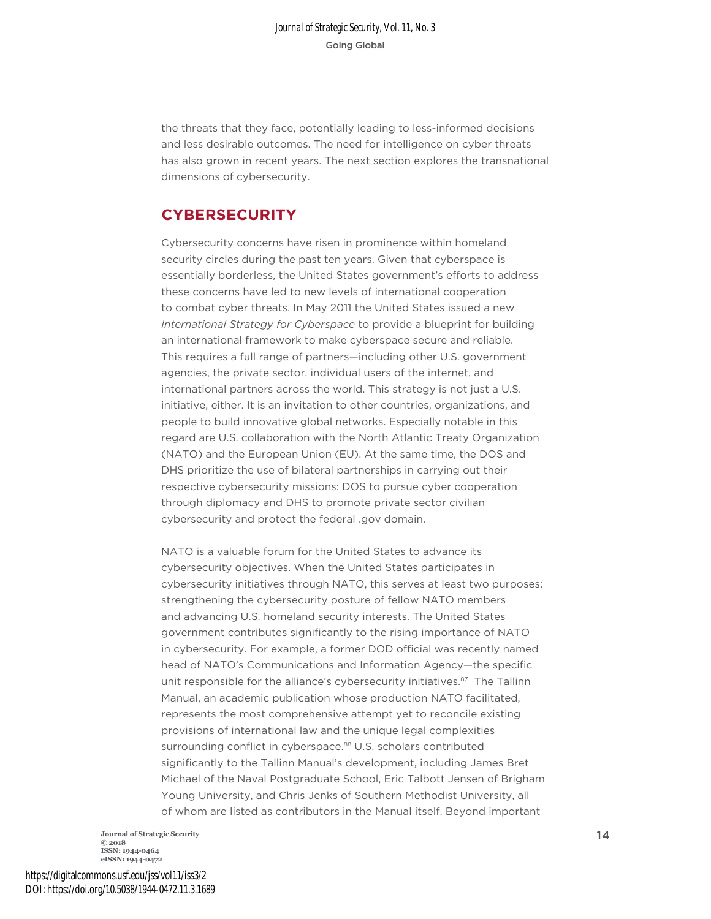the threats that they face, potentially leading to less-informed decisions and less desirable outcomes. The need for intelligence on cyber threats has also grown in recent years. The next section explores the transnational dimensions of cybersecurity.

# **CYBERSECURITY**

Cybersecurity concerns have risen in prominence within homeland security circles during the past ten years. Given that cyberspace is essentially borderless, the United States government's efforts to address these concerns have led to new levels of international cooperation to combat cyber threats. In May 2011 the United States issued a new *International Strategy for Cyberspace* to provide a blueprint for building an international framework to make cyberspace secure and reliable. This requires a full range of partners—including other U.S. government agencies, the private sector, individual users of the internet, and international partners across the world. This strategy is not just a U.S. initiative, either. It is an invitation to other countries, organizations, and people to build innovative global networks. Especially notable in this regard are U.S. collaboration with the North Atlantic Treaty Organization (NATO) and the European Union (EU). At the same time, the DOS and DHS prioritize the use of bilateral partnerships in carrying out their respective cybersecurity missions: DOS to pursue cyber cooperation through diplomacy and DHS to promote private sector civilian cybersecurity and protect the federal .gov domain.

NATO is a valuable forum for the United States to advance its cybersecurity objectives. When the United States participates in cybersecurity initiatives through NATO, this serves at least two purposes: strengthening the cybersecurity posture of fellow NATO members and advancing U.S. homeland security interests. The United States government contributes significantly to the rising importance of NATO in cybersecurity. For example, a former DOD official was recently named head of NATO's Communications and Information Agency—the specific unit responsible for the alliance's cybersecurity initiatives.<sup>87</sup> The Tallinn Manual, an academic publication whose production NATO facilitated, represents the most comprehensive attempt yet to reconcile existing provisions of international law and the unique legal complexities surrounding conflict in cyberspace.<sup>88</sup> U.S. scholars contributed significantly to the Tallinn Manual's development, including James Bret Michael of the Naval Postgraduate School, Eric Talbott Jensen of Brigham Young University, and Chris Jenks of Southern Methodist University, all of whom are listed as contributors in the Manual itself. Beyond important

**Journal of Strategic Security** 14 **© 2018 ISSN: 1944-0464 eISSN: 1944-0472**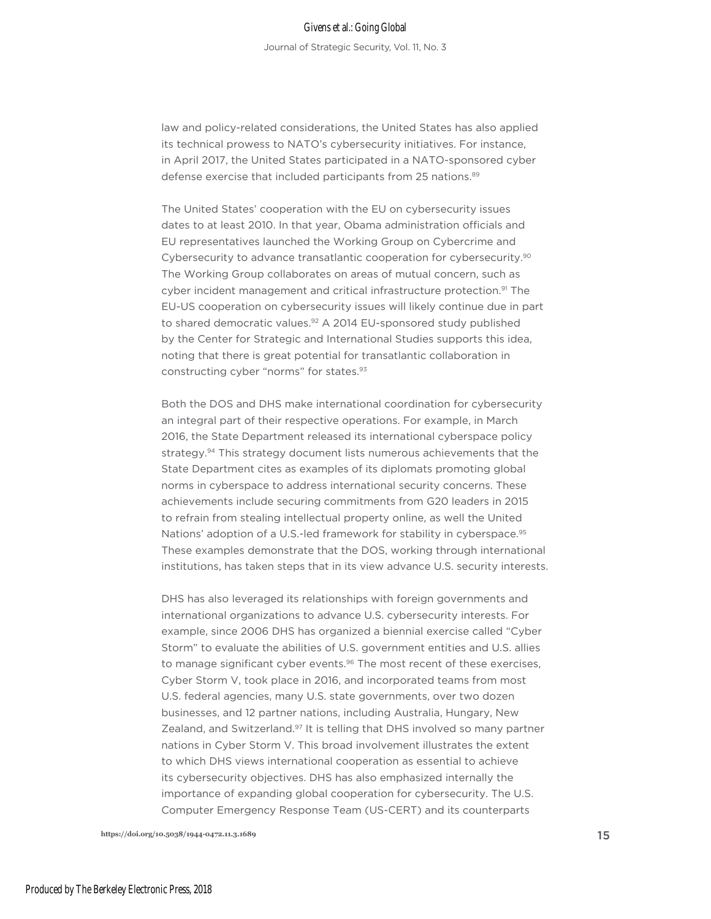law and policy-related considerations, the United States has also applied its technical prowess to NATO's cybersecurity initiatives. For instance, in April 2017, the United States participated in a NATO-sponsored cyber defense exercise that included participants from 25 nations.<sup>89</sup>

The United States' cooperation with the EU on cybersecurity issues dates to at least 2010. In that year, Obama administration officials and EU representatives launched the Working Group on Cybercrime and Cybersecurity to advance transatlantic cooperation for cybersecurity.<sup>90</sup> The Working Group collaborates on areas of mutual concern, such as cyber incident management and critical infrastructure protection.<sup>91</sup> The EU-US cooperation on cybersecurity issues will likely continue due in part to shared democratic values.<sup>92</sup> A 2014 EU-sponsored study published by the Center for Strategic and International Studies supports this idea, noting that there is great potential for transatlantic collaboration in constructing cyber "norms" for states.93

Both the DOS and DHS make international coordination for cybersecurity an integral part of their respective operations. For example, in March 2016, the State Department released its international cyberspace policy strategy.<sup>94</sup> This strategy document lists numerous achievements that the State Department cites as examples of its diplomats promoting global norms in cyberspace to address international security concerns. These achievements include securing commitments from G20 leaders in 2015 to refrain from stealing intellectual property online, as well the United Nations' adoption of a U.S.-led framework for stability in cyberspace.<sup>95</sup> These examples demonstrate that the DOS, working through international institutions, has taken steps that in its view advance U.S. security interests.

DHS has also leveraged its relationships with foreign governments and international organizations to advance U.S. cybersecurity interests. For example, since 2006 DHS has organized a biennial exercise called "Cyber Storm" to evaluate the abilities of U.S. government entities and U.S. allies to manage significant cyber events.<sup>96</sup> The most recent of these exercises, Cyber Storm V, took place in 2016, and incorporated teams from most U.S. federal agencies, many U.S. state governments, over two dozen businesses, and 12 partner nations, including Australia, Hungary, New Zealand, and Switzerland.97 It is telling that DHS involved so many partner nations in Cyber Storm V. This broad involvement illustrates the extent to which DHS views international cooperation as essential to achieve its cybersecurity objectives. DHS has also emphasized internally the importance of expanding global cooperation for cybersecurity. The U.S. Computer Emergency Response Team (US-CERT) and its counterparts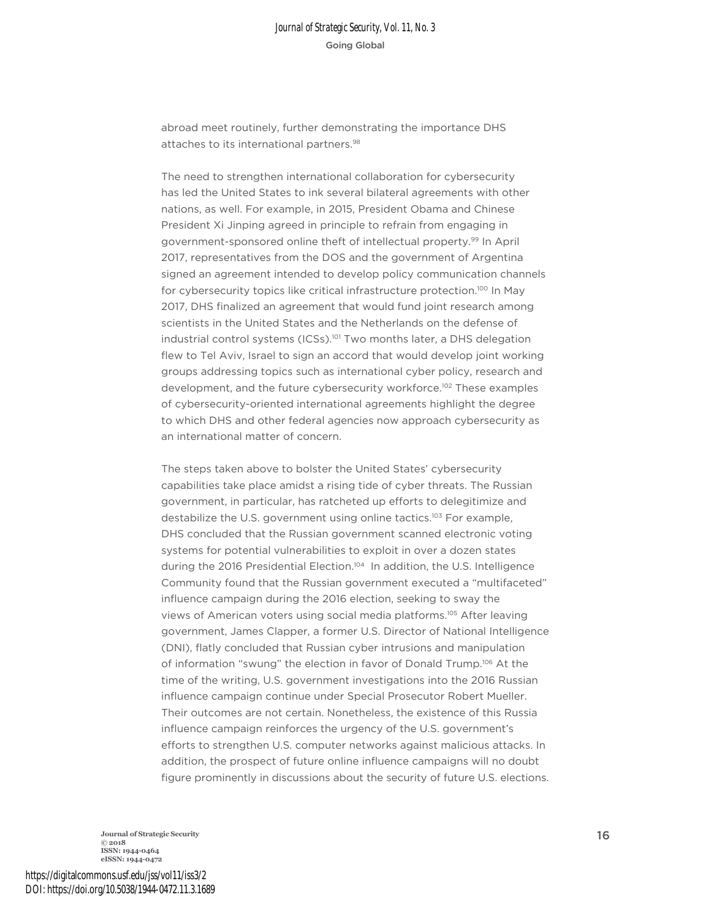abroad meet routinely, further demonstrating the importance DHS attaches to its international partners.<sup>98</sup>

The need to strengthen international collaboration for cybersecurity has led the United States to ink several bilateral agreements with other nations, as well. For example, in 2015, President Obama and Chinese President Xi Jinping agreed in principle to refrain from engaging in government-sponsored online theft of intellectual property.99 In April 2017, representatives from the DOS and the government of Argentina signed an agreement intended to develop policy communication channels for cybersecurity topics like critical infrastructure protection.<sup>100</sup> In May 2017, DHS finalized an agreement that would fund joint research among scientists in the United States and the Netherlands on the defense of industrial control systems (ICSs).<sup>101</sup> Two months later, a DHS delegation flew to Tel Aviv, Israel to sign an accord that would develop joint working groups addressing topics such as international cyber policy, research and development, and the future cybersecurity workforce.<sup>102</sup> These examples of cybersecurity-oriented international agreements highlight the degree to which DHS and other federal agencies now approach cybersecurity as an international matter of concern.

The steps taken above to bolster the United States' cybersecurity capabilities take place amidst a rising tide of cyber threats. The Russian government, in particular, has ratcheted up efforts to delegitimize and destabilize the U.S. government using online tactics.<sup>103</sup> For example, DHS concluded that the Russian government scanned electronic voting systems for potential vulnerabilities to exploit in over a dozen states during the 2016 Presidential Election.104 In addition, the U.S. Intelligence Community found that the Russian government executed a "multifaceted" influence campaign during the 2016 election, seeking to sway the views of American voters using social media platforms.105 After leaving government, James Clapper, a former U.S. Director of National Intelligence (DNI), flatly concluded that Russian cyber intrusions and manipulation of information "swung" the election in favor of Donald Trump.<sup>106</sup> At the time of the writing, U.S. government investigations into the 2016 Russian influence campaign continue under Special Prosecutor Robert Mueller. Their outcomes are not certain. Nonetheless, the existence of this Russia influence campaign reinforces the urgency of the U.S. government's efforts to strengthen U.S. computer networks against malicious attacks. In addition, the prospect of future online influence campaigns will no doubt figure prominently in discussions about the security of future U.S. elections.

**Journal of Strategic Security** 16 **C** 2018 **ISSN: 1944-0464 eISSN: 1944-0472**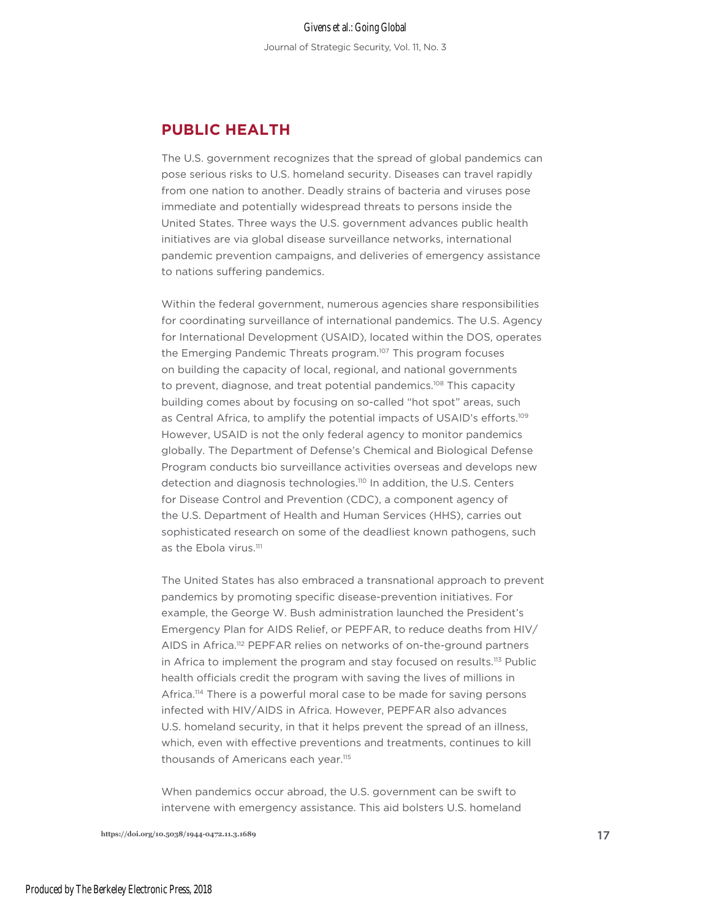# **PUBLIC HEALTH**

The U.S. government recognizes that the spread of global pandemics can pose serious risks to U.S. homeland security. Diseases can travel rapidly from one nation to another. Deadly strains of bacteria and viruses pose immediate and potentially widespread threats to persons inside the United States. Three ways the U.S. government advances public health initiatives are via global disease surveillance networks, international pandemic prevention campaigns, and deliveries of emergency assistance to nations suffering pandemics.

Within the federal government, numerous agencies share responsibilities for coordinating surveillance of international pandemics. The U.S. Agency for International Development (USAID), located within the DOS, operates the Emerging Pandemic Threats program.<sup>107</sup> This program focuses on building the capacity of local, regional, and national governments to prevent, diagnose, and treat potential pandemics.<sup>108</sup> This capacity building comes about by focusing on so-called "hot spot" areas, such as Central Africa, to amplify the potential impacts of USAID's efforts.<sup>109</sup> However, USAID is not the only federal agency to monitor pandemics globally. The Department of Defense's Chemical and Biological Defense Program conducts bio surveillance activities overseas and develops new detection and diagnosis technologies.<sup>110</sup> In addition, the U.S. Centers for Disease Control and Prevention (CDC), a component agency of the U.S. Department of Health and Human Services (HHS), carries out sophisticated research on some of the deadliest known pathogens, such as the Ebola virus.<sup>111</sup>

The United States has also embraced a transnational approach to prevent pandemics by promoting specific disease-prevention initiatives. For example, the George W. Bush administration launched the President's Emergency Plan for AIDS Relief, or PEPFAR, to reduce deaths from HIV/ AIDS in Africa.<sup>112</sup> PEPFAR relies on networks of on-the-ground partners in Africa to implement the program and stay focused on results.<sup>113</sup> Public health officials credit the program with saving the lives of millions in Africa.<sup>114</sup> There is a powerful moral case to be made for saving persons infected with HIV/AIDS in Africa. However, PEPFAR also advances U.S. homeland security, in that it helps prevent the spread of an illness, which, even with effective preventions and treatments, continues to kill thousands of Americans each year.<sup>115</sup>

When pandemics occur abroad, the U.S. government can be swift to intervene with emergency assistance. This aid bolsters U.S. homeland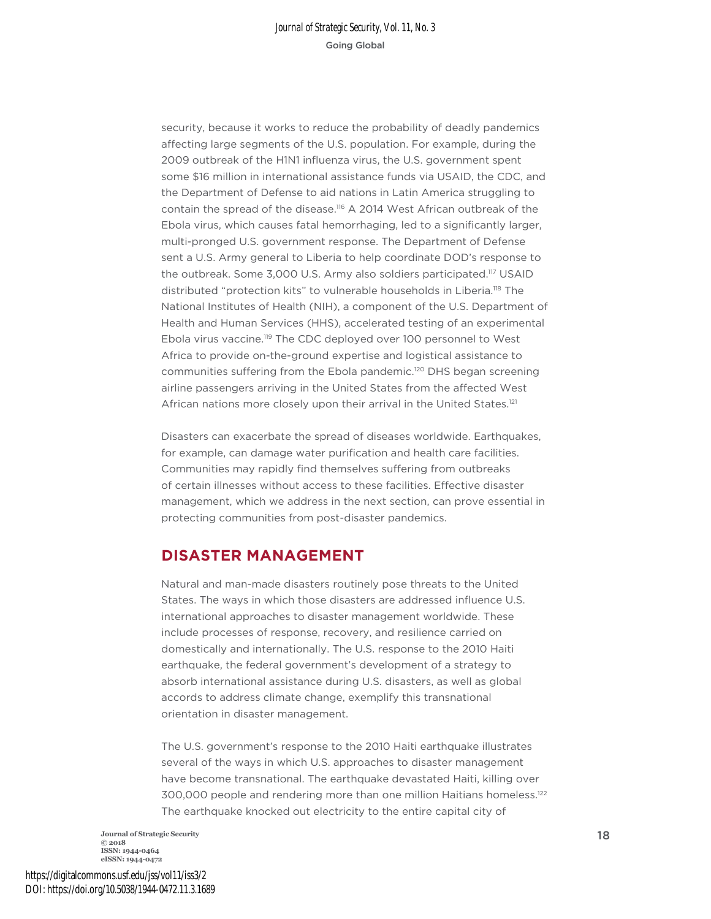security, because it works to reduce the probability of deadly pandemics affecting large segments of the U.S. population. For example, during the 2009 outbreak of the H1N1 influenza virus, the U.S. government spent some \$16 million in international assistance funds via USAID, the CDC, and the Department of Defense to aid nations in Latin America struggling to contain the spread of the disease.116 A 2014 West African outbreak of the Ebola virus, which causes fatal hemorrhaging, led to a significantly larger, multi-pronged U.S. government response. The Department of Defense sent a U.S. Army general to Liberia to help coordinate DOD's response to the outbreak. Some 3,000 U.S. Army also soldiers participated.<sup>117</sup> USAID distributed "protection kits" to vulnerable households in Liberia.118 The National Institutes of Health (NIH), a component of the U.S. Department of Health and Human Services (HHS), accelerated testing of an experimental Ebola virus vaccine.<sup>119</sup> The CDC deployed over 100 personnel to West Africa to provide on-the-ground expertise and logistical assistance to communities suffering from the Ebola pandemic.120 DHS began screening airline passengers arriving in the United States from the affected West African nations more closely upon their arrival in the United States.<sup>121</sup>

Disasters can exacerbate the spread of diseases worldwide. Earthquakes, for example, can damage water purification and health care facilities. Communities may rapidly find themselves suffering from outbreaks of certain illnesses without access to these facilities. Effective disaster management, which we address in the next section, can prove essential in protecting communities from post-disaster pandemics.

# **DISASTER MANAGEMENT**

Natural and man-made disasters routinely pose threats to the United States. The ways in which those disasters are addressed influence U.S. international approaches to disaster management worldwide. These include processes of response, recovery, and resilience carried on domestically and internationally. The U.S. response to the 2010 Haiti earthquake, the federal government's development of a strategy to absorb international assistance during U.S. disasters, as well as global accords to address climate change, exemplify this transnational orientation in disaster management.

The U.S. government's response to the 2010 Haiti earthquake illustrates several of the ways in which U.S. approaches to disaster management have become transnational. The earthquake devastated Haiti, killing over 300,000 people and rendering more than one million Haitians homeless.122 The earthquake knocked out electricity to the entire capital city of

**Journal of Strategic Security** 18 **© 2018 ISSN: 1944-0464 eISSN: 1944-0472**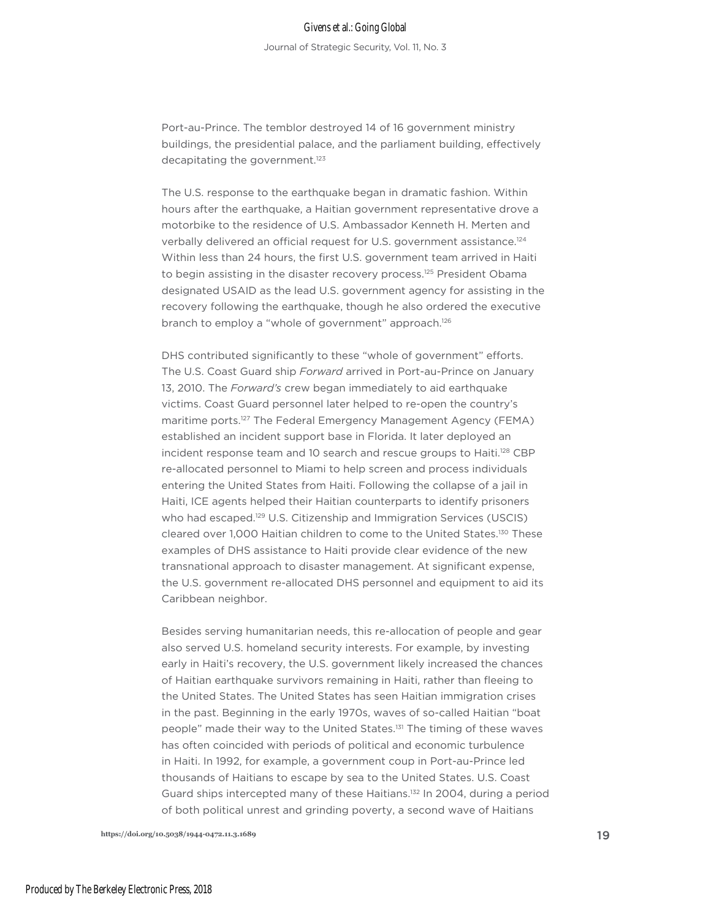Port-au-Prince. The temblor destroyed 14 of 16 government ministry buildings, the presidential palace, and the parliament building, effectively decapitating the government.<sup>123</sup>

The U.S. response to the earthquake began in dramatic fashion. Within hours after the earthquake, a Haitian government representative drove a motorbike to the residence of U.S. Ambassador Kenneth H. Merten and verbally delivered an official request for U.S. government assistance.<sup>124</sup> Within less than 24 hours, the first U.S. government team arrived in Haiti to begin assisting in the disaster recovery process.<sup>125</sup> President Obama designated USAID as the lead U.S. government agency for assisting in the recovery following the earthquake, though he also ordered the executive branch to employ a "whole of government" approach.<sup>126</sup>

DHS contributed significantly to these "whole of government" efforts. The U.S. Coast Guard ship *Forward* arrived in Port-au-Prince on January 13, 2010. The *Forward's* crew began immediately to aid earthquake victims. Coast Guard personnel later helped to re-open the country's maritime ports.<sup>127</sup> The Federal Emergency Management Agency (FEMA) established an incident support base in Florida. It later deployed an incident response team and 10 search and rescue groups to Haiti.<sup>128</sup> CBP re-allocated personnel to Miami to help screen and process individuals entering the United States from Haiti. Following the collapse of a jail in Haiti, ICE agents helped their Haitian counterparts to identify prisoners who had escaped.<sup>129</sup> U.S. Citizenship and Immigration Services (USCIS) cleared over 1,000 Haitian children to come to the United States.130 These examples of DHS assistance to Haiti provide clear evidence of the new transnational approach to disaster management. At significant expense, the U.S. government re-allocated DHS personnel and equipment to aid its Caribbean neighbor.

Besides serving humanitarian needs, this re-allocation of people and gear also served U.S. homeland security interests. For example, by investing early in Haiti's recovery, the U.S. government likely increased the chances of Haitian earthquake survivors remaining in Haiti, rather than fleeing to the United States. The United States has seen Haitian immigration crises in the past. Beginning in the early 1970s, waves of so-called Haitian "boat people" made their way to the United States.131 The timing of these waves has often coincided with periods of political and economic turbulence in Haiti. In 1992, for example, a government coup in Port-au-Prince led thousands of Haitians to escape by sea to the United States. U.S. Coast Guard ships intercepted many of these Haitians.<sup>132</sup> In 2004, during a period of both political unrest and grinding poverty, a second wave of Haitians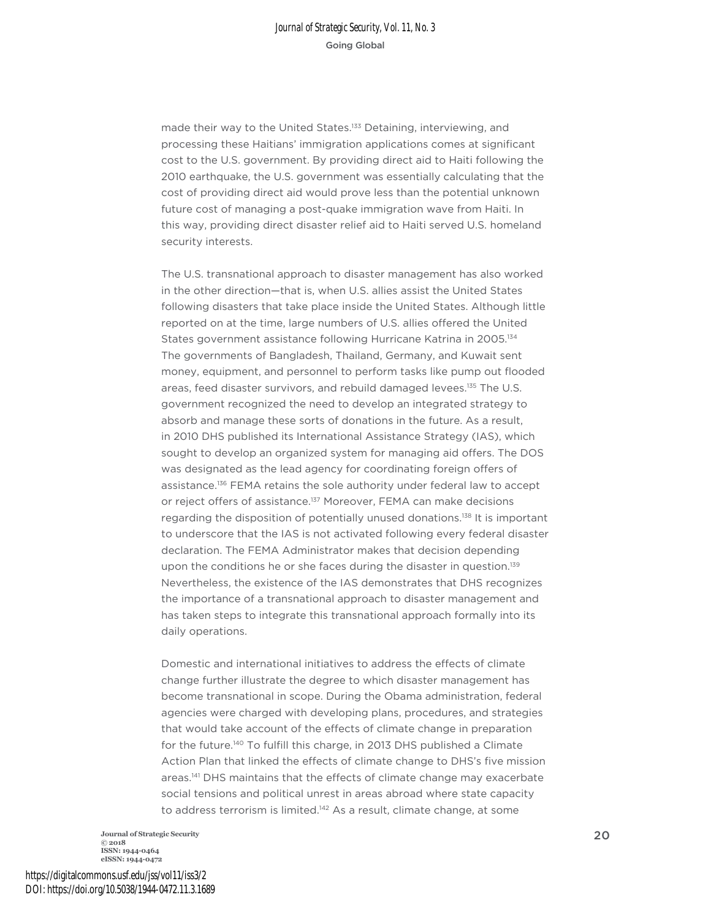made their way to the United States.<sup>133</sup> Detaining, interviewing, and processing these Haitians' immigration applications comes at significant cost to the U.S. government. By providing direct aid to Haiti following the 2010 earthquake, the U.S. government was essentially calculating that the cost of providing direct aid would prove less than the potential unknown future cost of managing a post-quake immigration wave from Haiti. In this way, providing direct disaster relief aid to Haiti served U.S. homeland security interests.

The U.S. transnational approach to disaster management has also worked in the other direction—that is, when U.S. allies assist the United States following disasters that take place inside the United States. Although little reported on at the time, large numbers of U.S. allies offered the United States government assistance following Hurricane Katrina in 2005.134 The governments of Bangladesh, Thailand, Germany, and Kuwait sent money, equipment, and personnel to perform tasks like pump out flooded areas, feed disaster survivors, and rebuild damaged levees.<sup>135</sup> The U.S. government recognized the need to develop an integrated strategy to absorb and manage these sorts of donations in the future. As a result, in 2010 DHS published its International Assistance Strategy (IAS), which sought to develop an organized system for managing aid offers. The DOS was designated as the lead agency for coordinating foreign offers of assistance.<sup>136</sup> FEMA retains the sole authority under federal law to accept or reject offers of assistance.<sup>137</sup> Moreover, FEMA can make decisions regarding the disposition of potentially unused donations.<sup>138</sup> It is important to underscore that the IAS is not activated following every federal disaster declaration. The FEMA Administrator makes that decision depending upon the conditions he or she faces during the disaster in question.<sup>139</sup> Nevertheless, the existence of the IAS demonstrates that DHS recognizes the importance of a transnational approach to disaster management and has taken steps to integrate this transnational approach formally into its daily operations.

Domestic and international initiatives to address the effects of climate change further illustrate the degree to which disaster management has become transnational in scope. During the Obama administration, federal agencies were charged with developing plans, procedures, and strategies that would take account of the effects of climate change in preparation for the future.140 To fulfill this charge, in 2013 DHS published a Climate Action Plan that linked the effects of climate change to DHS's five mission areas.141 DHS maintains that the effects of climate change may exacerbate social tensions and political unrest in areas abroad where state capacity to address terrorism is limited.<sup>142</sup> As a result, climate change, at some

**Journal of Strategic Security** <sup>20</sup> **© 2018 ISSN: 1944-0464 eISSN: 1944-0472**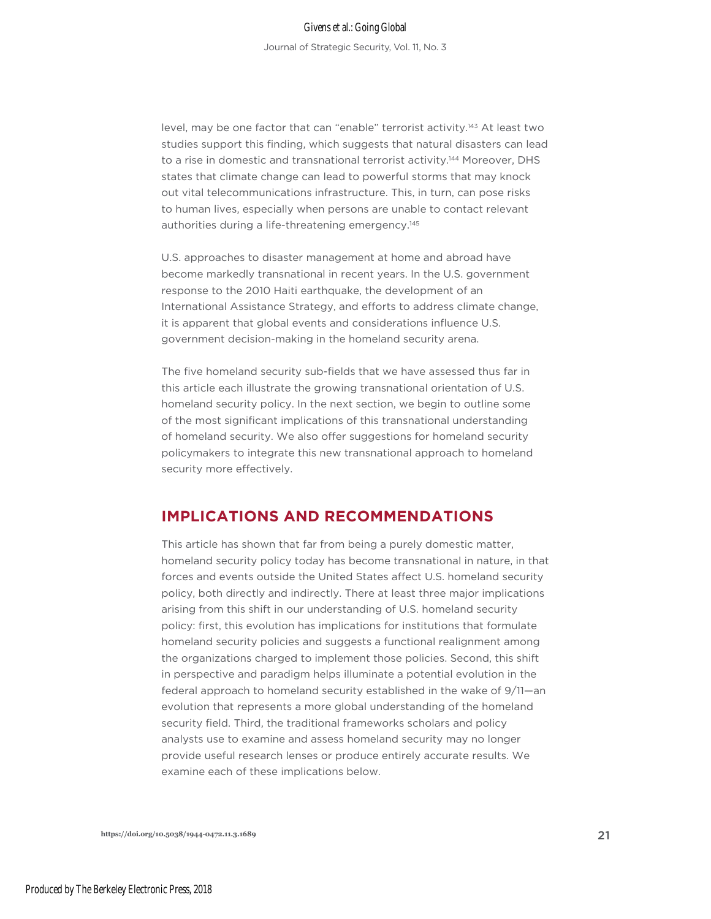level, may be one factor that can "enable" terrorist activity.<sup>143</sup> At least two studies support this finding, which suggests that natural disasters can lead to a rise in domestic and transnational terrorist activity.<sup>144</sup> Moreover, DHS states that climate change can lead to powerful storms that may knock out vital telecommunications infrastructure. This, in turn, can pose risks to human lives, especially when persons are unable to contact relevant authorities during a life-threatening emergency.<sup>145</sup>

U.S. approaches to disaster management at home and abroad have become markedly transnational in recent years. In the U.S. government response to the 2010 Haiti earthquake, the development of an International Assistance Strategy, and efforts to address climate change, it is apparent that global events and considerations influence U.S. government decision-making in the homeland security arena.

The five homeland security sub-fields that we have assessed thus far in this article each illustrate the growing transnational orientation of U.S. homeland security policy. In the next section, we begin to outline some of the most significant implications of this transnational understanding of homeland security. We also offer suggestions for homeland security policymakers to integrate this new transnational approach to homeland security more effectively.

# **IMPLICATIONS AND RECOMMENDATIONS**

This article has shown that far from being a purely domestic matter, homeland security policy today has become transnational in nature, in that forces and events outside the United States affect U.S. homeland security policy, both directly and indirectly. There at least three major implications arising from this shift in our understanding of U.S. homeland security policy: first, this evolution has implications for institutions that formulate homeland security policies and suggests a functional realignment among the organizations charged to implement those policies. Second, this shift in perspective and paradigm helps illuminate a potential evolution in the federal approach to homeland security established in the wake of 9/11—an evolution that represents a more global understanding of the homeland security field. Third, the traditional frameworks scholars and policy analysts use to examine and assess homeland security may no longer provide useful research lenses or produce entirely accurate results. We examine each of these implications below.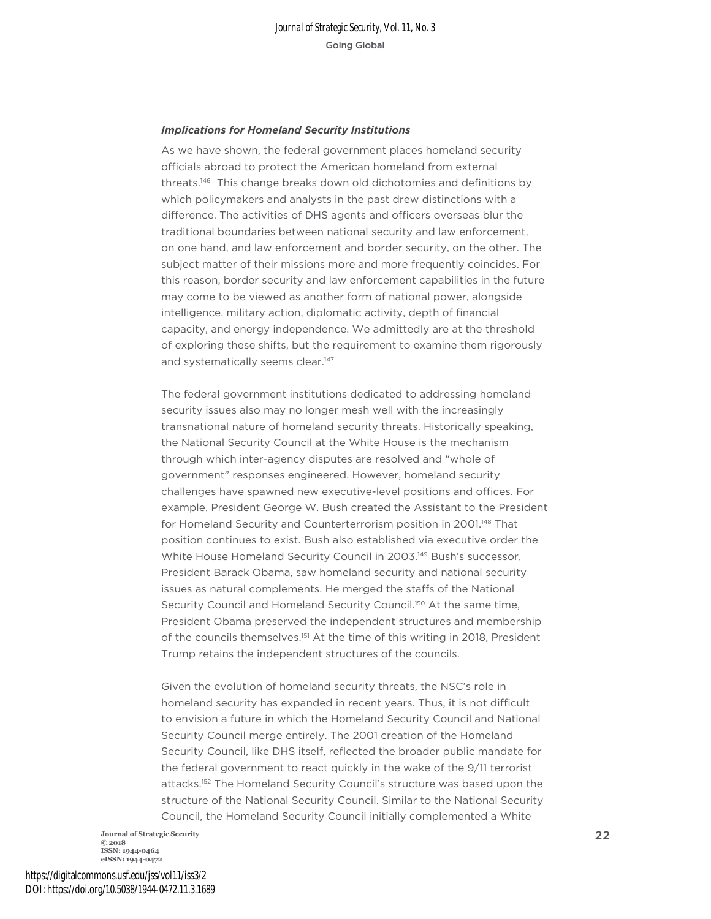#### *Implications for Homeland Security Institutions*

As we have shown, the federal government places homeland security officials abroad to protect the American homeland from external threats.146 This change breaks down old dichotomies and definitions by which policymakers and analysts in the past drew distinctions with a difference. The activities of DHS agents and officers overseas blur the traditional boundaries between national security and law enforcement, on one hand, and law enforcement and border security, on the other. The subject matter of their missions more and more frequently coincides. For this reason, border security and law enforcement capabilities in the future may come to be viewed as another form of national power, alongside intelligence, military action, diplomatic activity, depth of financial capacity, and energy independence. We admittedly are at the threshold of exploring these shifts, but the requirement to examine them rigorously and systematically seems clear.<sup>147</sup>

The federal government institutions dedicated to addressing homeland security issues also may no longer mesh well with the increasingly transnational nature of homeland security threats. Historically speaking, the National Security Council at the White House is the mechanism through which inter-agency disputes are resolved and "whole of government" responses engineered. However, homeland security challenges have spawned new executive-level positions and offices. For example, President George W. Bush created the Assistant to the President for Homeland Security and Counterterrorism position in 2001.<sup>148</sup> That position continues to exist. Bush also established via executive order the White House Homeland Security Council in 2003.149 Bush's successor, President Barack Obama, saw homeland security and national security issues as natural complements. He merged the staffs of the National Security Council and Homeland Security Council.<sup>150</sup> At the same time, President Obama preserved the independent structures and membership of the councils themselves.<sup>151</sup> At the time of this writing in 2018, President Trump retains the independent structures of the councils.

Given the evolution of homeland security threats, the NSC's role in homeland security has expanded in recent years. Thus, it is not difficult to envision a future in which the Homeland Security Council and National Security Council merge entirely. The 2001 creation of the Homeland Security Council, like DHS itself, reflected the broader public mandate for the federal government to react quickly in the wake of the 9/11 terrorist attacks.152 The Homeland Security Council's structure was based upon the structure of the National Security Council. Similar to the National Security Council, the Homeland Security Council initially complemented a White

**Journal of Strategic Security** 22 **© 2018 ISSN: 1944-0464 eISSN: 1944-0472**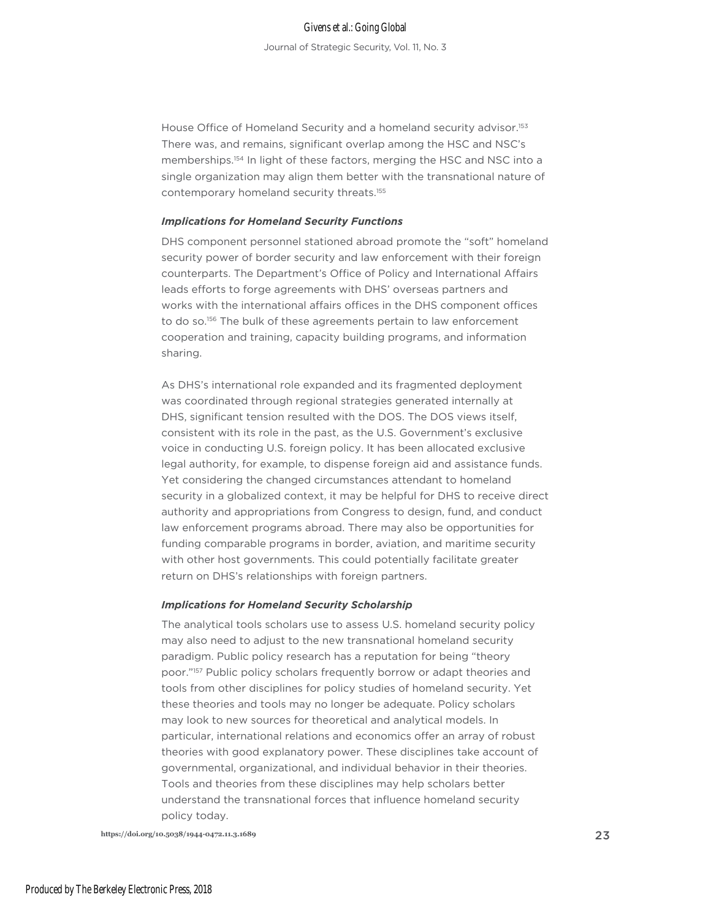House Office of Homeland Security and a homeland security advisor.<sup>153</sup> There was, and remains, significant overlap among the HSC and NSC's memberships.<sup>154</sup> In light of these factors, merging the HSC and NSC into a single organization may align them better with the transnational nature of contemporary homeland security threats.155

#### *Implications for Homeland Security Functions*

DHS component personnel stationed abroad promote the "soft" homeland security power of border security and law enforcement with their foreign counterparts. The Department's Office of Policy and International Affairs leads efforts to forge agreements with DHS' overseas partners and works with the international affairs offices in the DHS component offices to do so.<sup>156</sup> The bulk of these agreements pertain to law enforcement cooperation and training, capacity building programs, and information sharing.

As DHS's international role expanded and its fragmented deployment was coordinated through regional strategies generated internally at DHS, significant tension resulted with the DOS. The DOS views itself, consistent with its role in the past, as the U.S. Government's exclusive voice in conducting U.S. foreign policy. It has been allocated exclusive legal authority, for example, to dispense foreign aid and assistance funds. Yet considering the changed circumstances attendant to homeland security in a globalized context, it may be helpful for DHS to receive direct authority and appropriations from Congress to design, fund, and conduct law enforcement programs abroad. There may also be opportunities for funding comparable programs in border, aviation, and maritime security with other host governments. This could potentially facilitate greater return on DHS's relationships with foreign partners.

#### *Implications for Homeland Security Scholarship*

The analytical tools scholars use to assess U.S. homeland security policy may also need to adjust to the new transnational homeland security paradigm. Public policy research has a reputation for being "theory poor."157 Public policy scholars frequently borrow or adapt theories and tools from other disciplines for policy studies of homeland security. Yet these theories and tools may no longer be adequate. Policy scholars may look to new sources for theoretical and analytical models. In particular, international relations and economics offer an array of robust theories with good explanatory power. These disciplines take account of governmental, organizational, and individual behavior in their theories. Tools and theories from these disciplines may help scholars better understand the transnational forces that influence homeland security policy today.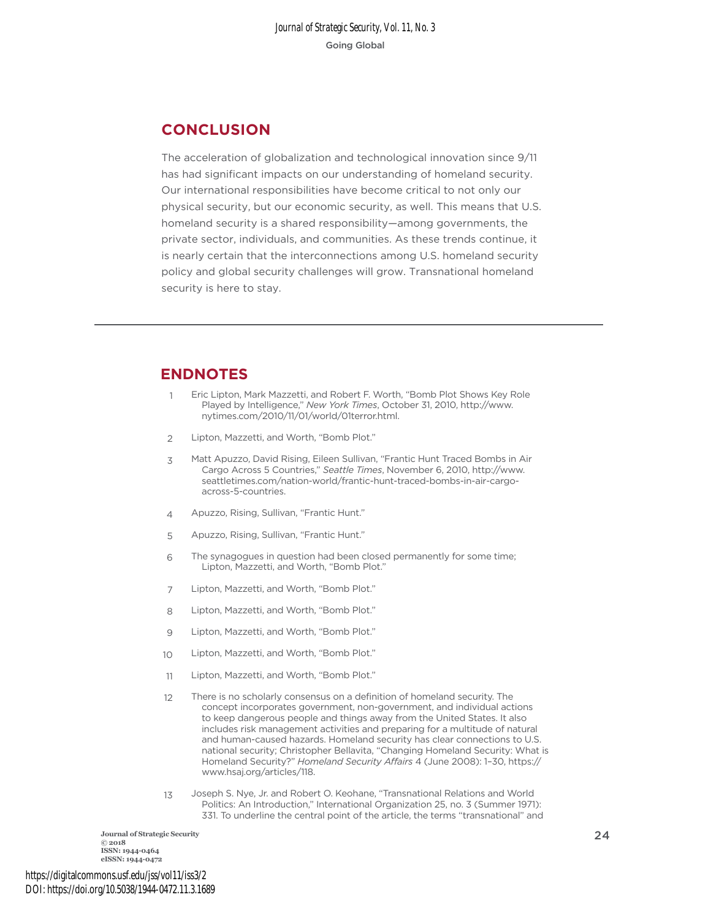# **CONCLUSION**

The acceleration of globalization and technological innovation since 9/11 has had significant impacts on our understanding of homeland security. Our international responsibilities have become critical to not only our physical security, but our economic security, as well. This means that U.S. homeland security is a shared responsibility—among governments, the private sector, individuals, and communities. As these trends continue, it is nearly certain that the interconnections among U.S. homeland security policy and global security challenges will grow. Transnational homeland security is here to stay.

# **ENDNOTES**

- 1 Eric Lipton, Mark Mazzetti, and Robert F. Worth, "Bomb Plot Shows Key Role Played by Intelligence," *New York Times*, October 31, 2010, http://www. nytimes.com/2010/11/01/world/01terror.html.
- $\overline{\phantom{0}}$ Lipton, Mazzetti, and Worth, "Bomb Plot."
- $\overline{\mathbf{z}}$ Matt Apuzzo, David Rising, Eileen Sullivan, "Frantic Hunt Traced Bombs in Air Cargo Across 5 Countries," *Seattle Times*, November 6, 2010, http://www. seattletimes.com/nation-world/frantic-hunt-traced-bombs-in-air-cargoacross-5-countries.
- 4 Apuzzo, Rising, Sullivan, "Frantic Hunt."
- 5 Apuzzo, Rising, Sullivan, "Frantic Hunt."
- 6 The synagogues in question had been closed permanently for some time; Lipton, Mazzetti, and Worth, "Bomb Plot."
- 7 Lipton, Mazzetti, and Worth, "Bomb Plot."
- 8 Lipton, Mazzetti, and Worth, "Bomb Plot."
- $\alpha$ Lipton, Mazzetti, and Worth, "Bomb Plot."
- 10 Lipton, Mazzetti, and Worth, "Bomb Plot."
- 11 Lipton, Mazzetti, and Worth, "Bomb Plot."
- 12 There is no scholarly consensus on a definition of homeland security. The concept incorporates government, non-government, and individual actions to keep dangerous people and things away from the United States. It also includes risk management activities and preparing for a multitude of natural and human-caused hazards. Homeland security has clear connections to U.S. national security; Christopher Bellavita, "Changing Homeland Security: What is Homeland Security?" *Homeland Security Affairs* 4 (June 2008): 1–30, https:// www.hsaj.org/articles/118.
- 13 Joseph S. Nye, Jr. and Robert O. Keohane, "Transnational Relations and World Politics: An Introduction," International Organization 25, no. 3 (Summer 1971): 331. To underline the central point of the article, the terms "transnational" and

**Journal of Strategic Security** 24 **© 2018 ISSN: 1944-0464 eISSN: 1944-0472**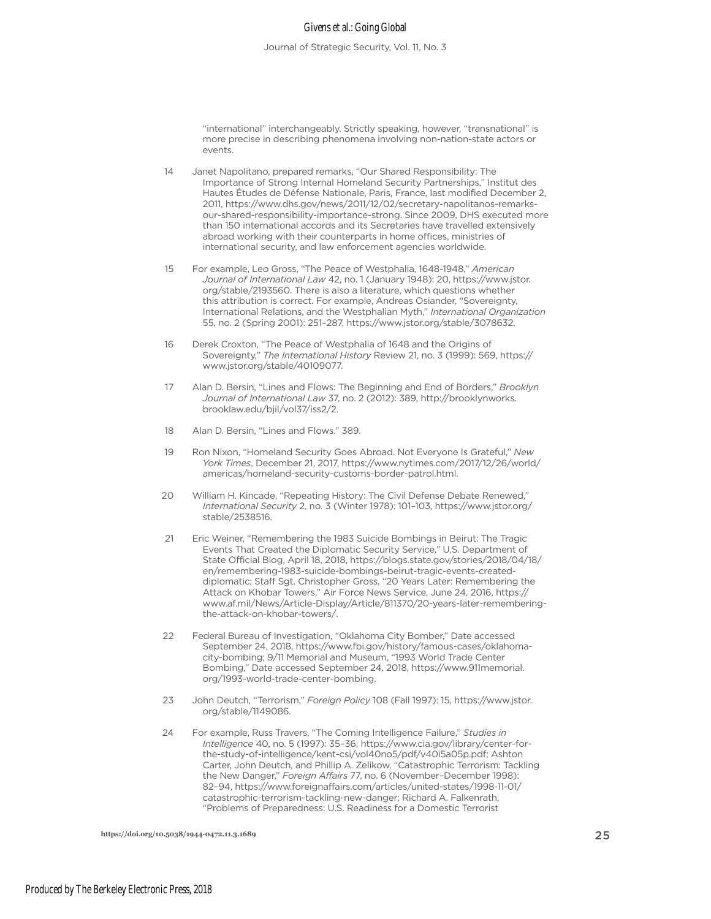#### Givens et al.: Going Global

Journal of Strategic Security, Vol. 11, No. 3

"international" interchangeably. Strictly speaking, however, "transnational" is more precise in describing phenomena involving non-nation-state actors or events.

Janet Napolitano, prepared remarks, "Our Shared Responsibility: The Importance of Strong Internal Homeland Security Partnerships," Institut des Hautes Études de Défense Nationale, Paris, France, last modified December 2, 2011, https://www.dhs.gov/news/2011/12/02/secretary-napolitanos-remarksour-shared-responsibility-importance-strong. Since 2009, DHS executed more than 150 international accords and its Secretaries have travelled extensively abroad working with their counterparts in home offices, ministries of international security, and law enforcement agencies worldwide. 14

- For example, Leo Gross, "The Peace of Westphalia, 1648-1948," *American Journal of International Law* 42, no. 1 (January 1948): 20, https://www.jstor. org/stable/2193560. There is also a literature, which questions whether this attribution is correct. For example, Andreas Osiander, "Sovereignty, International Relations, and the Westphalian Myth," *International Organization*  55, no. 2 (Spring 2001): 251–287, https://www.jstor.org/stable/3078632. 15
- Derek Croxton, "The Peace of Westphalia of 1648 and the Origins of Sovereignty," *The International History* Review 21, no. 3 (1999): 569, https:// www.jstor.org/stable/40109077. 16
- Alan D. Bersin, "Lines and Flows: The Beginning and End of Borders," *Brooklyn Journal of International Law* 37, no. 2 (2012): 389, http://brooklynworks. brooklaw.edu/bjil/vol37/iss2/2. 17
- Alan D. Bersin, "Lines and Flows." 389. 18
- Ron Nixon, "Homeland Security Goes Abroad. Not Everyone Is Grateful," *New York Times*, December 21, 2017, https://www.nytimes.com/2017/12/26/world/ americas/homeland-security-customs-border-patrol.html. 19
- William H. Kincade, "Repeating History: The Civil Defense Debate Renewed," *International Security* 2, no. 3 (Winter 1978): 101–103, https://www.jstor.org/ stable/2538516.  $20$
- Eric Weiner, "Remembering the 1983 Suicide Bombings in Beirut: The Tragic Events That Created the Diplomatic Security Service," U.S. Department of State Official Blog, April 18, 2018, https://blogs.state.gov/stories/2018/04/18/ en/remembering-1983-suicide-bombings-beirut-tragic-events-createddiplomatic; Staff Sgt. Christopher Gross, "20 Years Later: Remembering the Attack on Khobar Towers," Air Force News Service, June 24, 2016, https:// www.af.mil/News/Article-Display/Article/811370/20-years-later-rememberingthe-attack-on-khobar-towers/. 21
- Federal Bureau of Investigation, "Oklahoma City Bomber," Date accessed September 24, 2018, https://www.fbi.gov/history/famous-cases/oklahomacity-bombing; 9/11 Memorial and Museum, "1993 World Trade Center Bombing," Date accessed September 24, 2018, https://www.911memorial. org/1993-world-trade-center-bombing.  $22$
- John Deutch, "Terrorism," *Foreign Policy* 108 (Fall 1997): 15, https://www.jstor. org/stable/1149086. 23
- For example, Russ Travers, "The Coming Intelligence Failure," *Studies in Intelligence* 40, no. 5 (1997): 35–36, https://www.cia.gov/library/center-forthe-study-of-intelligence/kent-csi/vol40no5/pdf/v40i5a05p.pdf; Ashton Carter, John Deutch, and Phillip A. Zelikow, "Catastrophic Terrorism: Tackling the New Danger," *Foreign Affairs* 77, no. 6 (November–December 1998): 82–94, https://www.foreignaffairs.com/articles/united-states/1998-11-01/ catastrophic-terrorism-tackling-new-danger; Richard A. Falkenrath, "Problems of Preparedness: U.S. Readiness for a Domestic Terrorist  $24$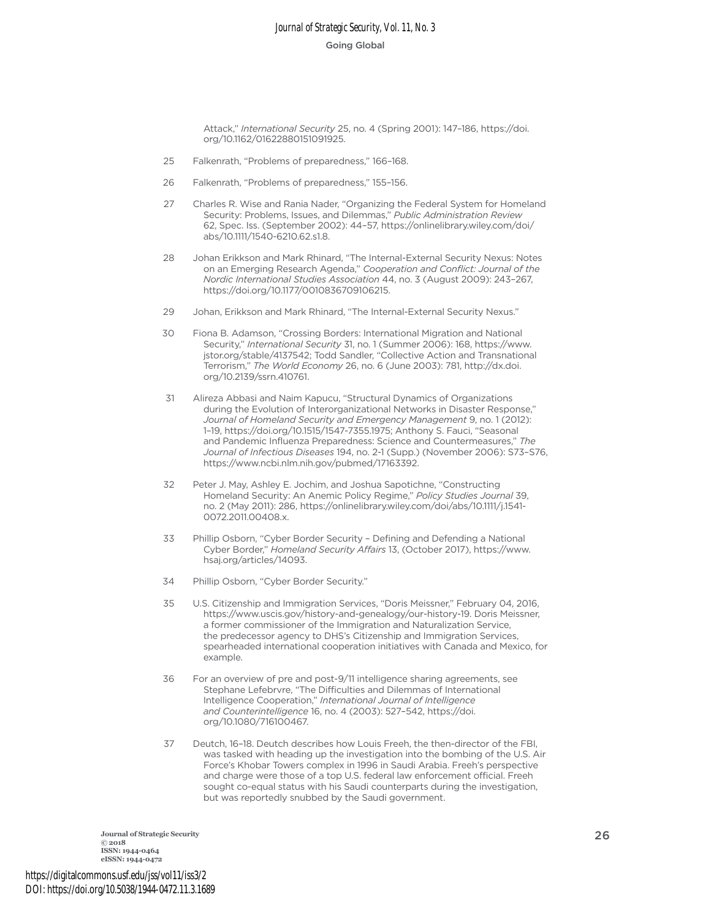Attack," *International Security* 25, no. 4 (Spring 2001): 147–186, https://doi. org/10.1162/01622880151091925.

- Falkenrath, "Problems of preparedness," 166–168. 25
- Falkenrath, "Problems of preparedness," 155–156. 26
- Charles R. Wise and Rania Nader, "Organizing the Federal System for Homeland Security: Problems, Issues, and Dilemmas," *Public Administration Review* 62, Spec. Iss. (September 2002): 44–57, https://onlinelibrary.wiley.com/doi/ abs/10.1111/1540-6210.62.s1.8. 27
- Johan Erikkson and Mark Rhinard, "The Internal-External Security Nexus: Notes on an Emerging Research Agenda," *Cooperation and Conflict: Journal of the Nordic International Studies Association* 44, no. 3 (August 2009): 243–267, https://doi.org/10.1177/0010836709106215. 28
- Johan, Erikkson and Mark Rhinard, "The Internal-External Security Nexus."  $29$
- Fiona B. Adamson, "Crossing Borders: International Migration and National Security," *International Security* 31, no. 1 (Summer 2006): 168, https://www. jstor.org/stable/4137542; Todd Sandler, "Collective Action and Transnational Terrorism," *The World Economy* 26, no. 6 (June 2003): 781, http://dx.doi. org/10.2139/ssrn.410761. 30
- Alireza Abbasi and Naim Kapucu, "Structural Dynamics of Organizations during the Evolution of Interorganizational Networks in Disaster Response," *Journal of Homeland Security and Emergency Management* 9, no. 1 (2012): 1–19, https://doi.org/10.1515/1547-7355.1975; Anthony S. Fauci, "Seasonal and Pandemic Influenza Preparedness: Science and Countermeasures," *The Journal of Infectious Diseases* 194, no. 2-1 (Supp.) (November 2006): S73–S76, https://www.ncbi.nlm.nih.gov/pubmed/17163392. 31
- Peter J. May, Ashley E. Jochim, and Joshua Sapotichne, "Constructing Homeland Security: An Anemic Policy Regime," *Policy Studies Journal* 39, no. 2 (May 2011): 286, https://onlinelibrary.wiley.com/doi/abs/10.1111/j.1541- 0072.2011.00408.x. 32
- Phillip Osborn, "Cyber Border Security Defining and Defending a National Cyber Border," *Homeland Security Affairs* 13, (October 2017), https://www. hsaj.org/articles/14093. 33
- Phillip Osborn, "Cyber Border Security." 34
- U.S. Citizenship and Immigration Services, "Doris Meissner," February 04, 2016, https://www.uscis.gov/history-and-genealogy/our-history-19. Doris Meissner, a former commissioner of the Immigration and Naturalization Service, the predecessor agency to DHS's Citizenship and Immigration Services, spearheaded international cooperation initiatives with Canada and Mexico, for example. 35
- For an overview of pre and post-9/11 intelligence sharing agreements, see Stephane Lefebrvre, "The Difficulties and Dilemmas of International Intelligence Cooperation," *International Journal of Intelligence and Counterintelligence* 16, no. 4 (2003): 527–542, https://doi. org/10.1080/716100467. 36
- Deutch, 16–18. Deutch describes how Louis Freeh, the then-director of the FBI, was tasked with heading up the investigation into the bombing of the U.S. Air Force's Khobar Towers complex in 1996 in Saudi Arabia. Freeh's perspective and charge were those of a top U.S. federal law enforcement official. Freeh sought co-equal status with his Saudi counterparts during the investigation, but was reportedly snubbed by the Saudi government. 37

**Journal of Strategic Security** <sup>26</sup> **© 2018 ISSN: 1944-0464 eISSN: 1944-0472**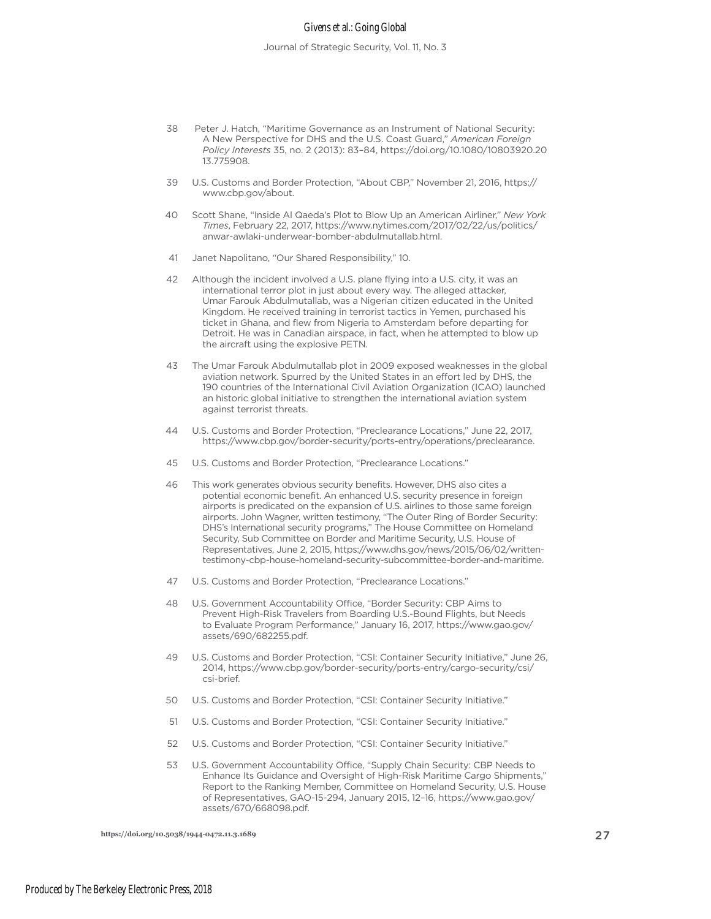#### Givens et al.: Going Global

- 38 Peter J. Hatch, "Maritime Governance as an Instrument of National Security: A New Perspective for DHS and the U.S. Coast Guard," *American Foreign Policy Interests* 35, no. 2 (2013): 83–84, https://doi.org/10.1080/10803920.20 13.775908.
- 39 U.S. Customs and Border Protection, "About CBP," November 21, 2016, https:// www.cbp.gov/about.
- 40 Scott Shane, "Inside Al Qaeda's Plot to Blow Up an American Airliner," *New York Times*, February 22, 2017, https://www.nytimes.com/2017/02/22/us/politics/ anwar-awlaki-underwear-bomber-abdulmutallab.html.
- 41 Janet Napolitano, "Our Shared Responsibility," 10.
- 42 Although the incident involved a U.S. plane flying into a U.S. city, it was an international terror plot in just about every way. The alleged attacker, Umar Farouk Abdulmutallab, was a Nigerian citizen educated in the United Kingdom. He received training in terrorist tactics in Yemen, purchased his ticket in Ghana, and flew from Nigeria to Amsterdam before departing for Detroit. He was in Canadian airspace, in fact, when he attempted to blow up the aircraft using the explosive PETN.
- 43 The Umar Farouk Abdulmutallab plot in 2009 exposed weaknesses in the global aviation network. Spurred by the United States in an effort led by DHS, the 190 countries of the International Civil Aviation Organization (ICAO) launched an historic global initiative to strengthen the international aviation system against terrorist threats.
- 44 U.S. Customs and Border Protection, "Preclearance Locations," June 22, 2017, https://www.cbp.gov/border-security/ports-entry/operations/preclearance.
- 45 U.S. Customs and Border Protection, "Preclearance Locations."
- 46 This work generates obvious security benefits. However, DHS also cites a potential economic benefit. An enhanced U.S. security presence in foreign airports is predicated on the expansion of U.S. airlines to those same foreign airports. John Wagner, written testimony, "The Outer Ring of Border Security: DHS's International security programs," The House Committee on Homeland Security, Sub Committee on Border and Maritime Security, U.S. House of Representatives, June 2, 2015, https://www.dhs.gov/news/2015/06/02/writtentestimony-cbp-house-homeland-security-subcommittee-border-and-maritime.
- 47 U.S. Customs and Border Protection, "Preclearance Locations."
- 48 U.S. Government Accountability Office, "Border Security: CBP Aims to Prevent High-Risk Travelers from Boarding U.S.-Bound Flights, but Needs to Evaluate Program Performance," January 16, 2017, https://www.gao.gov/ assets/690/682255.pdf.
- 49 U.S. Customs and Border Protection, "CSI: Container Security Initiative," June 26, 2014, https://www.cbp.gov/border-security/ports-entry/cargo-security/csi/ csi-brief.
- 50 U.S. Customs and Border Protection, "CSI: Container Security Initiative."
- 51 U.S. Customs and Border Protection, "CSI: Container Security Initiative."
- 52 U.S. Customs and Border Protection, "CSI: Container Security Initiative."
- 53 U.S. Government Accountability Office, "Supply Chain Security: CBP Needs to Enhance Its Guidance and Oversight of High-Risk Maritime Cargo Shipments," Report to the Ranking Member, Committee on Homeland Security, U.S. House of Representatives, GAO-15-294, January 2015, 12–16, https://www.gao.gov/ assets/670/668098.pdf.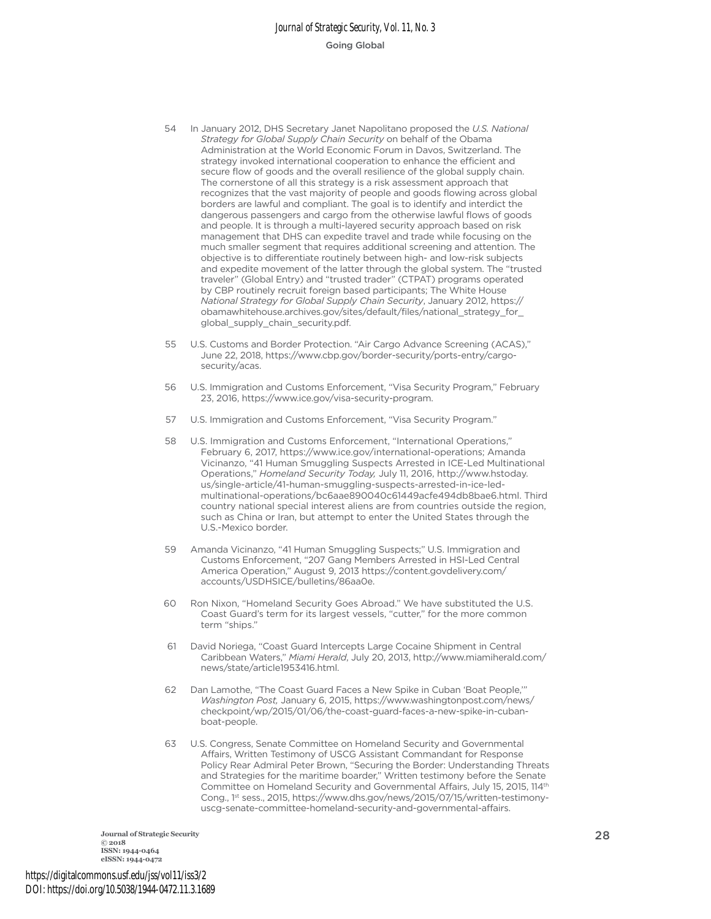- 54 In January 2012, DHS Secretary Janet Napolitano proposed the *U.S. National Strategy for Global Supply Chain Security* on behalf of the Obama Administration at the World Economic Forum in Davos, Switzerland. The strategy invoked international cooperation to enhance the efficient and secure flow of goods and the overall resilience of the global supply chain. The cornerstone of all this strategy is a risk assessment approach that recognizes that the vast majority of people and goods flowing across global borders are lawful and compliant. The goal is to identify and interdict the dangerous passengers and cargo from the otherwise lawful flows of goods and people. It is through a multi-layered security approach based on risk management that DHS can expedite travel and trade while focusing on the much smaller segment that requires additional screening and attention. The objective is to differentiate routinely between high- and low-risk subjects and expedite movement of the latter through the global system. The "trusted traveler" (Global Entry) and "trusted trader" (CTPAT) programs operated by CBP routinely recruit foreign based participants; The White House *National Strategy for Global Supply Chain Security*, January 2012, https:// obamawhitehouse.archives.gov/sites/default/files/national\_strategy\_for\_ global\_supply\_chain\_security.pdf.
- U.S. Customs and Border Protection. "Air Cargo Advance Screening (ACAS)," June 22, 2018, https://www.cbp.gov/border-security/ports-entry/cargosecurity/acas. 55
- U.S. Immigration and Customs Enforcement, "Visa Security Program," February 23, 2016, https://www.ice.gov/visa-security-program. 56
- U.S. Immigration and Customs Enforcement, "Visa Security Program." 57
- U.S. Immigration and Customs Enforcement, "International Operations," February 6, 2017, https://www.ice.gov/international-operations; Amanda Vicinanzo, "41 Human Smuggling Suspects Arrested in ICE-Led Multinational Operations," *Homeland Security Today,* July 11, 2016, http://www.hstoday. us/single-article/41-human-smuggling-suspects-arrested-in-ice-ledmultinational-operations/bc6aae890040c61449acfe494db8bae6.html. Third country national special interest aliens are from countries outside the region, such as China or Iran, but attempt to enter the United States through the U.S.-Mexico border. 58
- Amanda Vicinanzo, "41 Human Smuggling Suspects;" U.S. Immigration and Customs Enforcement, "207 Gang Members Arrested in HSI-Led Central America Operation," August 9, 2013 https://content.govdelivery.com/ accounts/USDHSICE/bulletins/86aa0e. 59
- Ron Nixon, "Homeland Security Goes Abroad." We have substituted the U.S. Coast Guard's term for its largest vessels, "cutter," for the more common term "ships." 60
- David Noriega, "Coast Guard Intercepts Large Cocaine Shipment in Central Caribbean Waters," *Miami Herald*, July 20, 2013, http://www.miamiherald.com/ news/state/article1953416.html. 61
- Dan Lamothe, "The Coast Guard Faces a New Spike in Cuban 'Boat People,'" *Washington Post,* January 6, 2015, https://www.washingtonpost.com/news/ checkpoint/wp/2015/01/06/the-coast-guard-faces-a-new-spike-in-cubanboat-people. 62
- U.S. Congress, Senate Committee on Homeland Security and Governmental Affairs, Written Testimony of USCG Assistant Commandant for Response Policy Rear Admiral Peter Brown, "Securing the Border: Understanding Threats and Strategies for the maritime boarder," Written testimony before the Senate Committee on Homeland Security and Governmental Affairs, July 15, 2015, 114<sup>th</sup> Cong., 1st sess., 2015, https://www.dhs.gov/news/2015/07/15/written-testimonyuscg-senate-committee-homeland-security-and-governmental-affairs. 63

**Journal of Strategic Security** 28 **© 2018 ISSN: 1944-0464 eISSN: 1944-0472**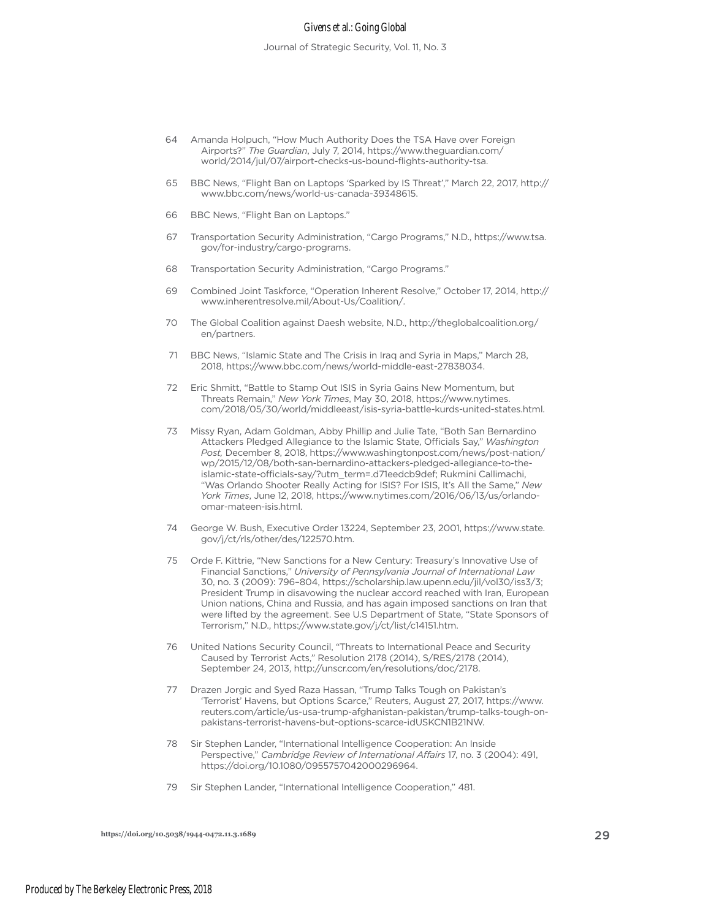#### Givens et al.: Going Global

Journal of Strategic Security, Vol. 11, No. 3

- Amanda Holpuch, "How Much Authority Does the TSA Have over Foreign Airports?" *The Guardian*, July 7, 2014, https://www.theguardian.com/ world/2014/jul/07/airport-checks-us-bound-flights-authority-tsa. 64
- BBC News, "Flight Ban on Laptops 'Sparked by IS Threat'," March 22, 2017, http:// www.bbc.com/news/world-us-canada-39348615. 65
- BBC News, "Flight Ban on Laptops." 66
- Transportation Security Administration, "Cargo Programs," N.D., https://www.tsa. gov/for-industry/cargo-programs. 67
- Transportation Security Administration, "Cargo Programs." 68
- Combined Joint Taskforce, "Operation Inherent Resolve," October 17, 2014, http:// www.inherentresolve.mil/About-Us/Coalition/. 69
- The Global Coalition against Daesh website, N.D., http://theglobalcoalition.org/ 70 en/partners.
- BBC News, "Islamic State and The Crisis in Iraq and Syria in Maps," March 28, 2018, https://www.bbc.com/news/world-middle-east-27838034. 71
- Eric Shmitt, "Battle to Stamp Out ISIS in Syria Gains New Momentum, but Threats Remain," *New York Times*, May 30, 2018, https://www.nytimes. com/2018/05/30/world/middleeast/isis-syria-battle-kurds-united-states.html. 72
- 73 Missy Ryan, Adam Goldman, Abby Phillip and Julie Tate, "Both San Bernardino Attackers Pledged Allegiance to the Islamic State, Officials Say," *Washington Post,* December 8, 2018, https://www.washingtonpost.com/news/post-nation/ wp/2015/12/08/both-san-bernardino-attackers-pledged-allegiance-to-theislamic-state-officials-say/?utm\_term=.d71eedcb9def; Rukmini Callimachi, "Was Orlando Shooter Really Acting for ISIS? For ISIS, It's All the Same," *New York Times*, June 12, 2018, https://www.nytimes.com/2016/06/13/us/orlandoomar-mateen-isis.html.
- 74 George W. Bush, Executive Order 13224, September 23, 2001, https://www.state. gov/j/ct/rls/other/des/122570.htm.
- Orde F. Kittrie, "New Sanctions for a New Century: Treasury's Innovative Use of Financial Sanctions," *University of Pennsylvania Journal of International Law* 30, no. 3 (2009): 796–804, https://scholarship.law.upenn.edu/jil/vol30/iss3/3; President Trump in disavowing the nuclear accord reached with Iran, European Union nations, China and Russia, and has again imposed sanctions on Iran that were lifted by the agreement. See U.S Department of State, "State Sponsors of Terrorism," N.D., https://www.state.gov/j/ct/list/c14151.htm. 75
- United Nations Security Council, "Threats to International Peace and Security Caused by Terrorist Acts," Resolution 2178 (2014), S/RES/2178 (2014), September 24, 2013, http://unscr.com/en/resolutions/doc/2178. 76
- 77 Drazen Jorgic and Syed Raza Hassan, "Trump Talks Tough on Pakistan's 'Terrorist' Havens, but Options Scarce," Reuters, August 27, 2017, https://www. reuters.com/article/us-usa-trump-afghanistan-pakistan/trump-talks-tough-onpakistans-terrorist-havens-but-options-scarce-idUSKCN1B21NW.
- Sir Stephen Lander, "International Intelligence Cooperation: An Inside Perspective," *Cambridge Review of International Affairs* 17, no. 3 (2004): 491, https://doi.org/10.1080/0955757042000296964. 78
- Sir Stephen Lander, "International Intelligence Cooperation," 481. 79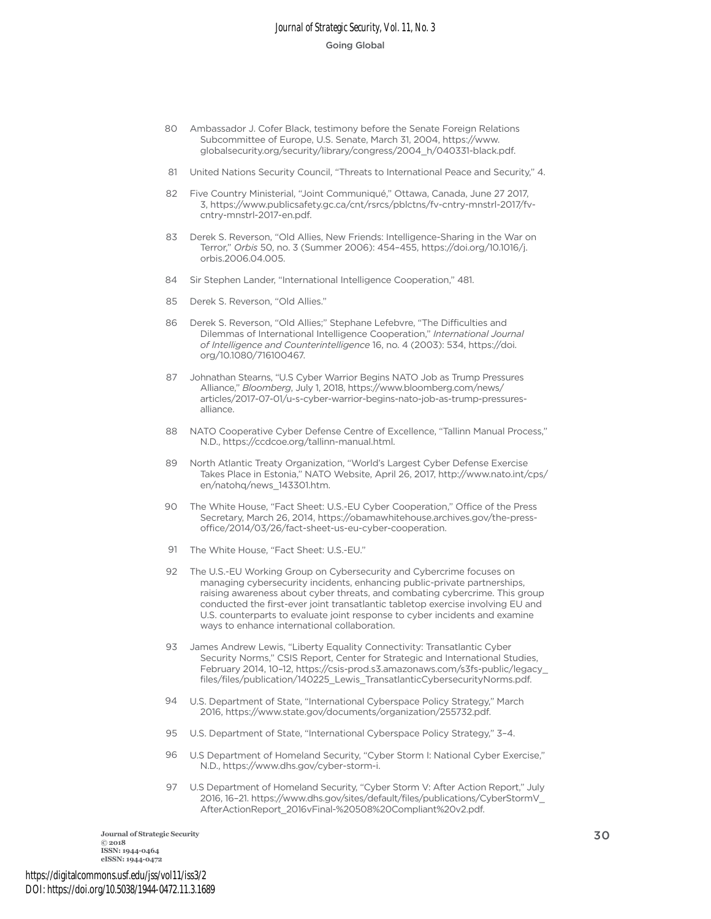- 80 Ambassador J. Cofer Black, testimony before the Senate Foreign Relations Subcommittee of Europe, U.S. Senate, March 31, 2004, https://www. globalsecurity.org/security/library/congress/2004\_h/040331-black.pdf.
- United Nations Security Council, "Threats to International Peace and Security," 4. 81
- Five Country Ministerial, "Joint Communiqué," Ottawa, Canada, June 27 2017, 3, https://www.publicsafety.gc.ca/cnt/rsrcs/pblctns/fv-cntry-mnstrl-2017/fvcntry-mnstrl-2017-en.pdf. 82
- 83 Derek S. Reverson, "Old Allies, New Friends: Intelligence-Sharing in the War on Terror," *Orbis* 50, no. 3 (Summer 2006): 454–455, https://doi.org/10.1016/j. orbis.2006.04.005.
- Sir Stephen Lander, "International Intelligence Cooperation," 481. 84
- Derek S. Reverson, "Old Allies." 85
- 86 Derek S. Reverson, "Old Allies;" Stephane Lefebvre, "The Difficulties and Dilemmas of International Intelligence Cooperation," *International Journal of Intelligence and Counterintelligence* 16, no. 4 (2003): 534, https://doi. org/10.1080/716100467.
- Johnathan Stearns, "U.S Cyber Warrior Begins NATO Job as Trump Pressures Alliance," *Bloomberg*, July 1, 2018, https://www.bloomberg.com/news/ articles/2017-07-01/u-s-cyber-warrior-begins-nato-job-as-trump-pressuresalliance. 87
- NATO Cooperative Cyber Defense Centre of Excellence, "Tallinn Manual Process," 88 N.D., https://ccdcoe.org/tallinn-manual.html.
- North Atlantic Treaty Organization, "World's Largest Cyber Defense Exercise Takes Place in Estonia," NATO Website, April 26, 2017, http://www.nato.int/cps/ en/natohq/news\_143301.htm. 89
- 90 The White House, "Fact Sheet: U.S.-EU Cyber Cooperation," Office of the Press Secretary, March 26, 2014, https://obamawhitehouse.archives.gov/the-pressoffice/2014/03/26/fact-sheet-us-eu-cyber-cooperation.
- 91 The White House, "Fact Sheet: U.S.-EU."
- The U.S.-EU Working Group on Cybersecurity and Cybercrime focuses on 92 managing cybersecurity incidents, enhancing public-private partnerships, raising awareness about cyber threats, and combating cybercrime. This group conducted the first-ever joint transatlantic tabletop exercise involving EU and U.S. counterparts to evaluate joint response to cyber incidents and examine ways to enhance international collaboration.
- James Andrew Lewis, "Liberty Equality Connectivity: Transatlantic Cyber Security Norms," CSIS Report, Center for Strategic and International Studies, February 2014, 10–12, https://csis-prod.s3.amazonaws.com/s3fs-public/legacy\_ files/files/publication/140225\_Lewis\_TransatlanticCybersecurityNorms.pdf. 93
- U.S. Department of State, "International Cyberspace Policy Strategy," March 2016, https://www.state.gov/documents/organization/255732.pdf. 94
- U.S. Department of State, "International Cyberspace Policy Strategy," 3–4. 95
- U.S Department of Homeland Security, "Cyber Storm I: National Cyber Exercise," N.D., https://www.dhs.gov/cyber-storm-i. 96
- U.S Department of Homeland Security, "Cyber Storm V: After Action Report," July 2016, 16–21. https://www.dhs.gov/sites/default/files/publications/CyberStormV\_ AfterActionReport\_2016vFinal-%20508%20Compliant%20v2.pdf. 97

**Journal of Strategic Security** 30 **2018 ISSN: 1944-0464 eISSN: 1944-0472**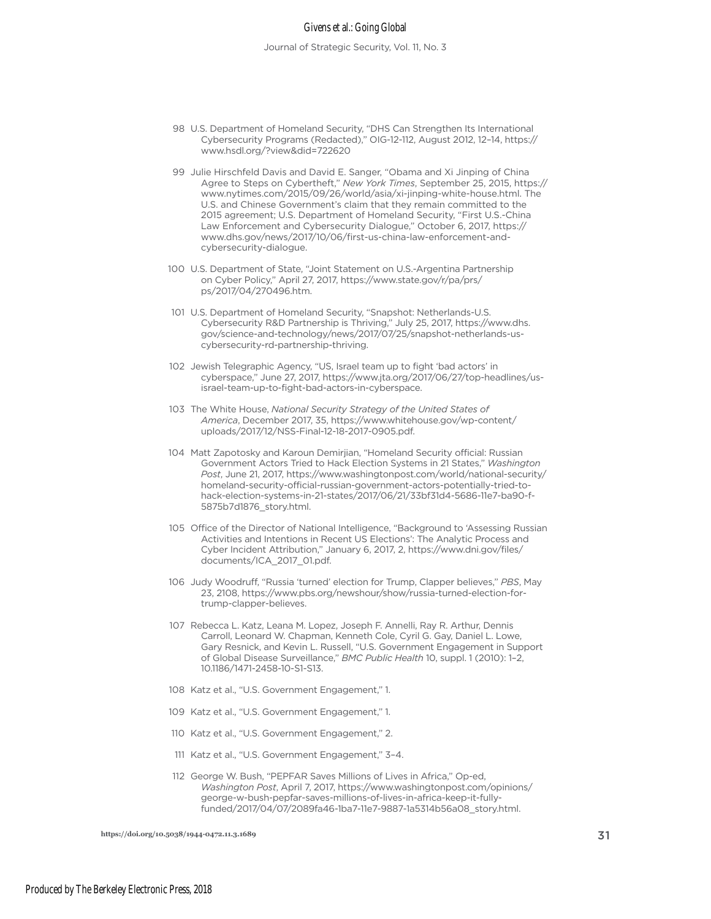#### Givens et al.: Going Global

- U.S. Department of Homeland Security, "DHS Can Strengthen Its International Cybersecurity Programs (Redacted)," OIG-12-112, August 2012, 12–14, https:// www.hsdl.org/?view&did=722620 98
- Julie Hirschfeld Davis and David E. Sanger, "Obama and Xi Jinping of China Agree to Steps on Cybertheft," *New York Times*, September 25, 2015, https:// www.nytimes.com/2015/09/26/world/asia/xi-jinping-white-house.html. The U.S. and Chinese Government's claim that they remain committed to the 2015 agreement; U.S. Department of Homeland Security, "First U.S.-China Law Enforcement and Cybersecurity Dialogue," October 6, 2017, https:// www.dhs.gov/news/2017/10/06/first-us-china-law-enforcement-andcybersecurity-dialogue. 99
- 100 U.S. Department of State, "Joint Statement on U.S.-Argentina Partnership on Cyber Policy," April 27, 2017, https://www.state.gov/r/pa/prs/ ps/2017/04/270496.htm.
- 101 U.S. Department of Homeland Security, "Snapshot: Netherlands-U.S. Cybersecurity R&D Partnership is Thriving," July 25, 2017, https://www.dhs. gov/science-and-technology/news/2017/07/25/snapshot-netherlands-uscybersecurity-rd-partnership-thriving.
- 102 Jewish Telegraphic Agency, "US, Israel team up to fight 'bad actors' in cyberspace," June 27, 2017, https://www.jta.org/2017/06/27/top-headlines/usisrael-team-up-to-fight-bad-actors-in-cyberspace.
- 103 The White House, National Security Strategy of the United States of *America*, December 2017, 35, https://www.whitehouse.gov/wp-content/ uploads/2017/12/NSS-Final-12-18-2017-0905.pdf.
- 104 Matt Zapotosky and Karoun Demirjian, "Homeland Security official: Russian Government Actors Tried to Hack Election Systems in 21 States," *Washington Post*, June 21, 2017, https://www.washingtonpost.com/world/national-security/ homeland-security-official-russian-government-actors-potentially-tried-tohack-election-systems-in-21-states/2017/06/21/33bf31d4-5686-11e7-ba90-f-5875b7d1876\_story.html.
- 105 Office of the Director of National Intelligence, "Background to 'Assessing Russian Activities and Intentions in Recent US Elections': The Analytic Process and Cyber Incident Attribution," January 6, 2017, 2, https://www.dni.gov/files/ documents/ICA\_2017\_01.pdf.
- 106 Judy Woodruff, "Russia 'turned' election for Trump, Clapper believes," PBS, May 23, 2108, https://www.pbs.org/newshour/show/russia-turned-election-fortrump-clapper-believes.
- 107 Rebecca L. Katz, Leana M. Lopez, Joseph F. Annelli, Ray R. Arthur, Dennis Carroll, Leonard W. Chapman, Kenneth Cole, Cyril G. Gay, Daniel L. Lowe, Gary Resnick, and Kevin L. Russell, "U.S. Government Engagement in Support of Global Disease Surveillance," *BMC Public Health* 10, suppl. 1 (2010): 1–2, 10.1186/1471-2458-10-S1-S13.
- 108 Katz et al., "U.S. Government Engagement," 1.
- 109 Katz et al., "U.S. Government Engagement," 1.
- 110 Katz et al., "U.S. Government Engagement," 2.
- 111 Katz et al., "U.S. Government Engagement," 3-4.
- 112 George W. Bush, "PEPFAR Saves Millions of Lives in Africa," Op-ed, *Washington Post*, April 7, 2017, https://www.washingtonpost.com/opinions/ george-w-bush-pepfar-saves-millions-of-lives-in-africa-keep-it-fullyfunded/2017/04/07/2089fa46-1ba7-11e7-9887-1a5314b56a08\_story.html.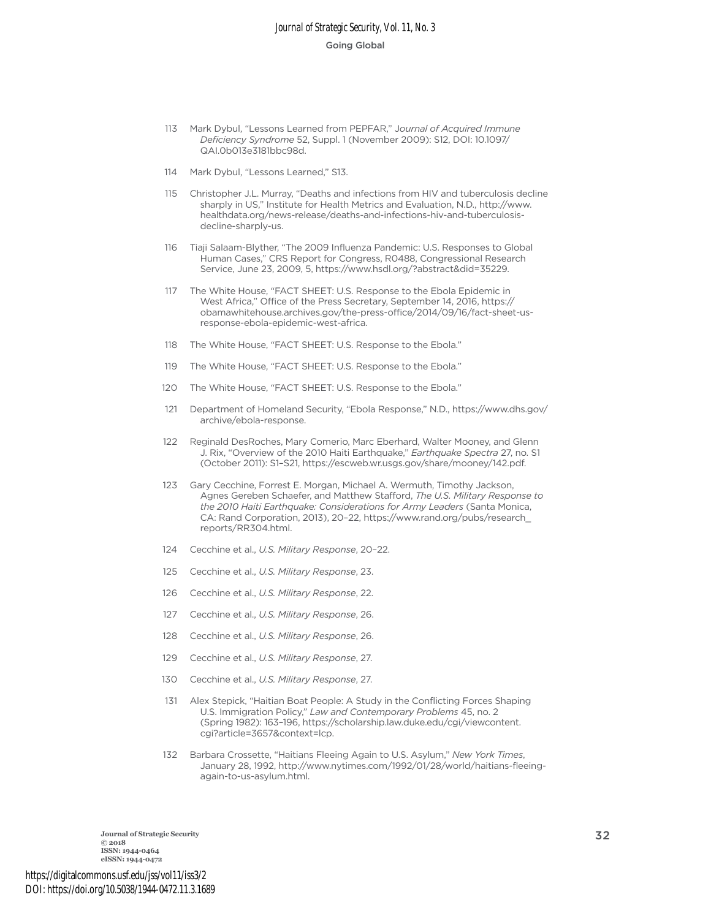- Mark Dybul, "Lessons Learned from PEPFAR," J*ournal of Acquired Immune*  113 *Deficiency Syndrome* 52, Suppl. 1 (November 2009): S12, DOI: 10.1097/ QAI.0b013e3181bbc98d.
- Mark Dybul, "Lessons Learned," S13. 114
- Christopher J.L. Murray, "Deaths and infections from HIV and tuberculosis decline sharply in US," Institute for Health Metrics and Evaluation, N.D., http://www. healthdata.org/news-release/deaths-and-infections-hiv-and-tuberculosisdecline-sharply-us. 115
- Tiaji Salaam-Blyther, "The 2009 Influenza Pandemic: U.S. Responses to Global Human Cases," CRS Report for Congress, R0488, Congressional Research Service, June 23, 2009, 5, https://www.hsdl.org/?abstract&did=35229. 116
- The White House, "FACT SHEET: U.S. Response to the Ebola Epidemic in West Africa," Office of the Press Secretary, September 14, 2016, https:// obamawhitehouse.archives.gov/the-press-office/2014/09/16/fact-sheet-usresponse-ebola-epidemic-west-africa. 117
- The White House, "FACT SHEET: U.S. Response to the Ebola." 118
- The White House, "FACT SHEET: U.S. Response to the Ebola." 119
- The White House, "FACT SHEET: U.S. Response to the Ebola." 120
- Department of Homeland Security, "Ebola Response," N.D., https://www.dhs.gov/ archive/ebola-response. 121
- Reginald DesRoches, Mary Comerio, Marc Eberhard, Walter Mooney, and Glenn J. Rix, "Overview of the 2010 Haiti Earthquake," *Earthquake Spectra* 27, no. S1 (October 2011): S1–S21, https://escweb.wr.usgs.gov/share/mooney/142.pdf. 122
- 123 Gary Cecchine, Forrest E. Morgan, Michael A. Wermuth, Timothy Jackson, Agnes Gereben Schaefer, and Matthew Stafford, *The U.S. Military Response to the 2010 Haiti Earthquake: Considerations for Army Leaders* (Santa Monica, CA: Rand Corporation, 2013), 20–22, https://www.rand.org/pubs/research\_ reports/RR304.html.
- Cecchine et al., *U.S. Military Response*, 20–22. 124
- Cecchine et al., *U.S. Military Response*, 23. 125
- Cecchine et al., *U.S. Military Response*, 22. 126
- Cecchine et al., *U.S. Military Response*, 26. 127
- Cecchine et al., *U.S. Military Response*, 26. 128
- Cecchine et al., *U.S. Military Response*, 27. 129
- Cecchine et al., *U.S. Military Response*, 27. 130
- Alex Stepick, "Haitian Boat People: A Study in the Conflicting Forces Shaping U.S. Immigration Policy," *Law and Contemporary Problems* 45, no. 2 (Spring 1982): 163–196, https://scholarship.law.duke.edu/cgi/viewcontent. cgi?article=3657&context=lcp. 131
- 132 Barbara Crossette, "Haitians Fleeing Again to U.S. Asylum," New York Times, January 28, 1992, http://www.nytimes.com/1992/01/28/world/haitians-fleeingagain-to-us-asylum.html.

**Journal of Strategic Security** 32 **Final strategic Security** 32 **ISSN: 1944-0464 eISSN: 1944-0472**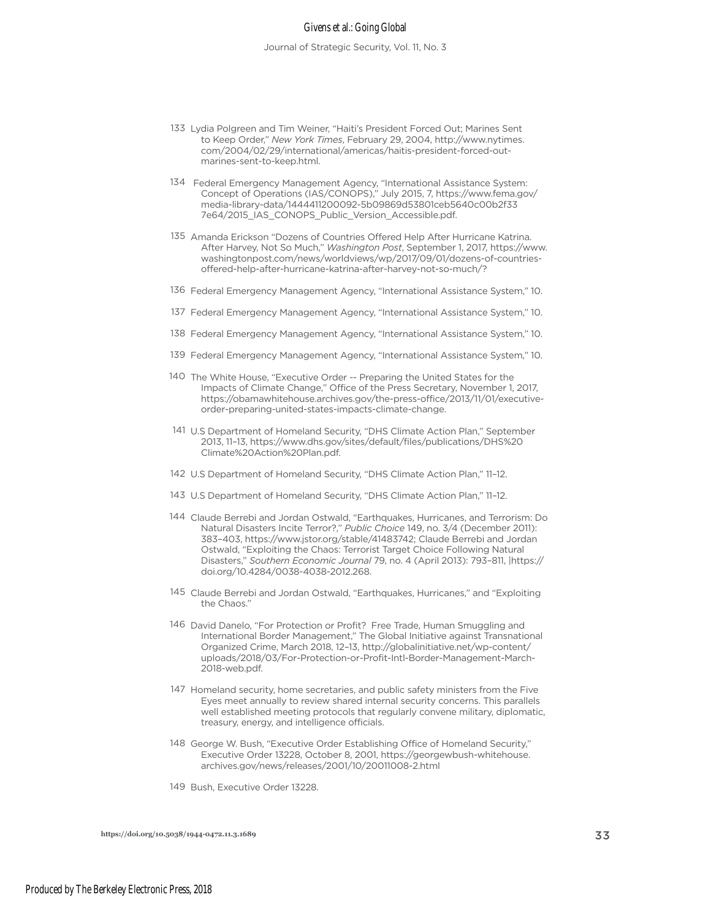#### Givens et al.: Going Global

- 133 Lydia Polgreen and Tim Weiner, "Haiti's President Forced Out; Marines Sent to Keep Order," *New York Times*, February 29, 2004, http://www.nytimes. com/2004/02/29/international/americas/haitis-president-forced-outmarines-sent-to-keep.html.
- 134 Federal Emergency Management Agency, "International Assistance System: Concept of Operations (IAS/CONOPS)," July 2015, 7, https://www.fema.gov/ media-library-data/1444411200092-5b09869d53801ceb5640c00b2f33 7e64/2015\_IAS\_CONOPS\_Public\_Version\_Accessible.pdf.
- 135 Amanda Erickson "Dozens of Countries Offered Help After Hurricane Katrina. After Harvey, Not So Much," *Washington Post*, September 1, 2017, https://www. washingtonpost.com/news/worldviews/wp/2017/09/01/dozens-of-countriesoffered-help-after-hurricane-katrina-after-harvey-not-so-much/?
- 136 Federal Emergency Management Agency, "International Assistance System," 10.
- 137 Federal Emergency Management Agency, "International Assistance System," 10.
- 138 Federal Emergency Management Agency, "International Assistance System," 10.
- 139 Federal Emergency Management Agency, "International Assistance System," 10.
- 140 The White House, "Executive Order -- Preparing the United States for the Impacts of Climate Change," Office of the Press Secretary, November 1, 2017, https://obamawhitehouse.archives.gov/the-press-office/2013/11/01/executiveorder-preparing-united-states-impacts-climate-change.
- 141 U.S Department of Homeland Security, "DHS Climate Action Plan," September 2013, 11–13, https://www.dhs.gov/sites/default/files/publications/DHS%20 Climate%20Action%20Plan.pdf.
- 142 U.S Department of Homeland Security, "DHS Climate Action Plan," 11–12.
- 143 U.S Department of Homeland Security, "DHS Climate Action Plan," 11–12.
- 144 Claude Berrebi and Jordan Ostwald, "Earthquakes, Hurricanes, and Terrorism: Do Natural Disasters Incite Terror?," *Public Choice* 149, no. 3/4 (December 2011): 383–403, https://www.jstor.org/stable/41483742; Claude Berrebi and Jordan Ostwald, "Exploiting the Chaos: Terrorist Target Choice Following Natural Disasters," *Southern Economic Journal* 79, no. 4 (April 2013): 793–811, |https:// doi.org/10.4284/0038-4038-2012.268.
- 145 Claude Berrebi and Jordan Ostwald, "Earthquakes, Hurricanes," and "Exploiting the Chaos."
- 146 David Danelo, "For Protection or Profit? Free Trade, Human Smuggling and International Border Management," The Global Initiative against Transnational Organized Crime, March 2018, 12–13, http://globalinitiative.net/wp-content/ uploads/2018/03/For-Protection-or-Profit-Intl-Border-Management-March-2018-web.pdf.
- 147 Homeland security, home secretaries, and public safety ministers from the Five Eyes meet annually to review shared internal security concerns. This parallels well established meeting protocols that regularly convene military, diplomatic, treasury, energy, and intelligence officials.
- 148 George W. Bush, "Executive Order Establishing Office of Homeland Security," Executive Order 13228, October 8, 2001, https://georgewbush-whitehouse. archives.gov/news/releases/2001/10/20011008-2.html
- 149 Bush, Executive Order 13228.